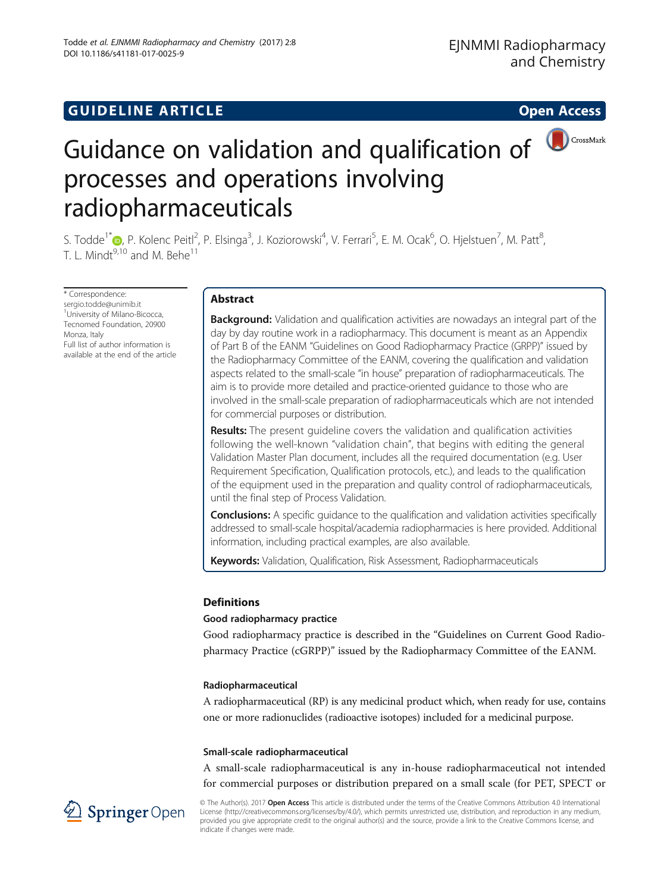## **GUIDELINE ARTICLE CONSUMING ARTICLE**



# Guidance on validation and qualification of **O**CrossMark processes and operations involving radiopharmaceuticals

S. Todde<sup>1\*</sup>®[,](http://orcid.org/0000-0001-8913-0538) P. Kolenc Peitl<sup>2</sup>, P. Elsinga<sup>3</sup>, J. Koziorowski<sup>4</sup>, V. Ferrari<sup>5</sup>, E. M. Ocak<sup>6</sup>, O. Hjelstuen<sup>7</sup>, M. Patt<sup>8</sup> , T. L. Mindt<sup>9,10</sup> and M. Behe<sup>11</sup>

\* Correspondence: [sergio.todde@unimib.it](mailto:sergio.todde@unimib.it) 1 University of Milano-Bicocca, Tecnomed Foundation, 20900 Monza, Italy Full list of author information is available at the end of the article

#### Abstract

Background: Validation and qualification activities are nowadays an integral part of the day by day routine work in a radiopharmacy. This document is meant as an Appendix of Part B of the EANM "Guidelines on Good Radiopharmacy Practice (GRPP)" issued by the Radiopharmacy Committee of the EANM, covering the qualification and validation aspects related to the small-scale "in house" preparation of radiopharmaceuticals. The aim is to provide more detailed and practice-oriented guidance to those who are involved in the small-scale preparation of radiopharmaceuticals which are not intended for commercial purposes or distribution.

Results: The present guideline covers the validation and qualification activities following the well-known "validation chain", that begins with editing the general Validation Master Plan document, includes all the required documentation (e.g. User Requirement Specification, Qualification protocols, etc.), and leads to the qualification of the equipment used in the preparation and quality control of radiopharmaceuticals, until the final step of Process Validation.

**Conclusions:** A specific guidance to the qualification and validation activities specifically addressed to small-scale hospital/academia radiopharmacies is here provided. Additional information, including practical examples, are also available.

**Keywords:** Validation, Qualification, Risk Assessment, Radiopharmaceuticals

#### **Definitions**

#### Good radiopharmacy practice

Good radiopharmacy practice is described in the "Guidelines on Current Good Radiopharmacy Practice (cGRPP)" issued by the Radiopharmacy Committee of the EANM.

#### Radiopharmaceutical

A radiopharmaceutical (RP) is any medicinal product which, when ready for use, contains one or more radionuclides (radioactive isotopes) included for a medicinal purpose.

#### Small-scale radiopharmaceutical

A small-scale radiopharmaceutical is any in-house radiopharmaceutical not intended for commercial purposes or distribution prepared on a small scale (for PET, SPECT or

**Springer** Open

© The Author(s). 2017 Open Access This article is distributed under the terms of the Creative Commons Attribution 4.0 International License [\(http://creativecommons.org/licenses/by/4.0/](http://creativecommons.org/licenses/by/4.0/)), which permits unrestricted use, distribution, and reproduction in any medium, provided you give appropriate credit to the original author(s) and the source, provide a link to the Creative Commons license, and indicate if changes were made.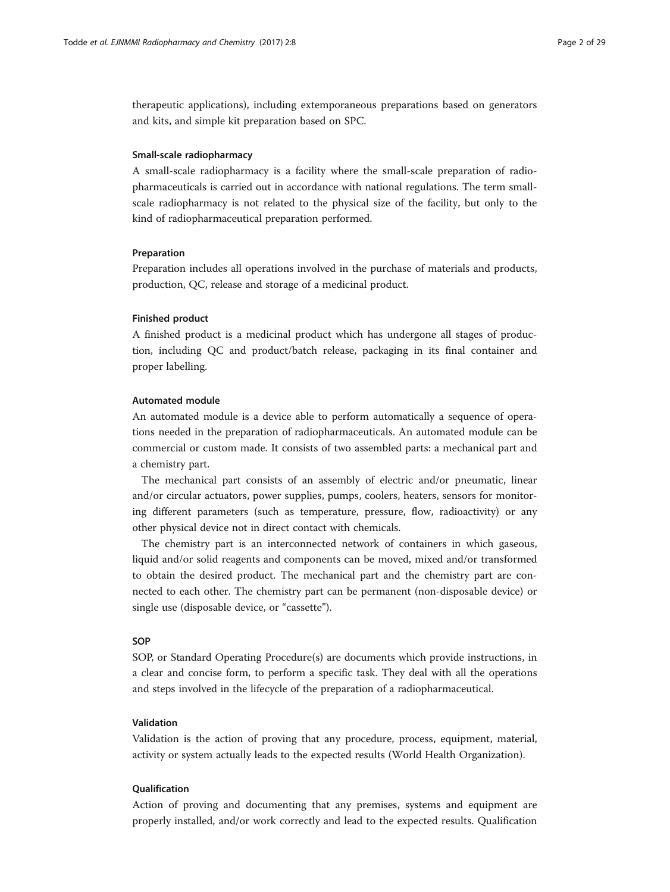therapeutic applications), including extemporaneous preparations based on generators and kits, and simple kit preparation based on SPC.

#### Small-scale radiopharmacy

A small-scale radiopharmacy is a facility where the small-scale preparation of radiopharmaceuticals is carried out in accordance with national regulations. The term smallscale radiopharmacy is not related to the physical size of the facility, but only to the kind of radiopharmaceutical preparation performed.

#### Preparation

Preparation includes all operations involved in the purchase of materials and products, production, QC, release and storage of a medicinal product.

#### Finished product

A finished product is a medicinal product which has undergone all stages of production, including QC and product/batch release, packaging in its final container and proper labelling.

#### Automated module

An automated module is a device able to perform automatically a sequence of operations needed in the preparation of radiopharmaceuticals. An automated module can be commercial or custom made. It consists of two assembled parts: a mechanical part and a chemistry part.

The mechanical part consists of an assembly of electric and/or pneumatic, linear and/or circular actuators, power supplies, pumps, coolers, heaters, sensors for monitoring different parameters (such as temperature, pressure, flow, radioactivity) or any other physical device not in direct contact with chemicals.

The chemistry part is an interconnected network of containers in which gaseous, liquid and/or solid reagents and components can be moved, mixed and/or transformed to obtain the desired product. The mechanical part and the chemistry part are connected to each other. The chemistry part can be permanent (non-disposable device) or single use (disposable device, or "cassette").

#### SOP

SOP, or Standard Operating Procedure(s) are documents which provide instructions, in a clear and concise form, to perform a specific task. They deal with all the operations and steps involved in the lifecycle of the preparation of a radiopharmaceutical.

#### Validation

Validation is the action of proving that any procedure, process, equipment, material, activity or system actually leads to the expected results [\(World Health Organization\)](#page-28-0).

#### **Qualification**

Action of proving and documenting that any premises, systems and equipment are properly installed, and/or work correctly and lead to the expected results. Qualification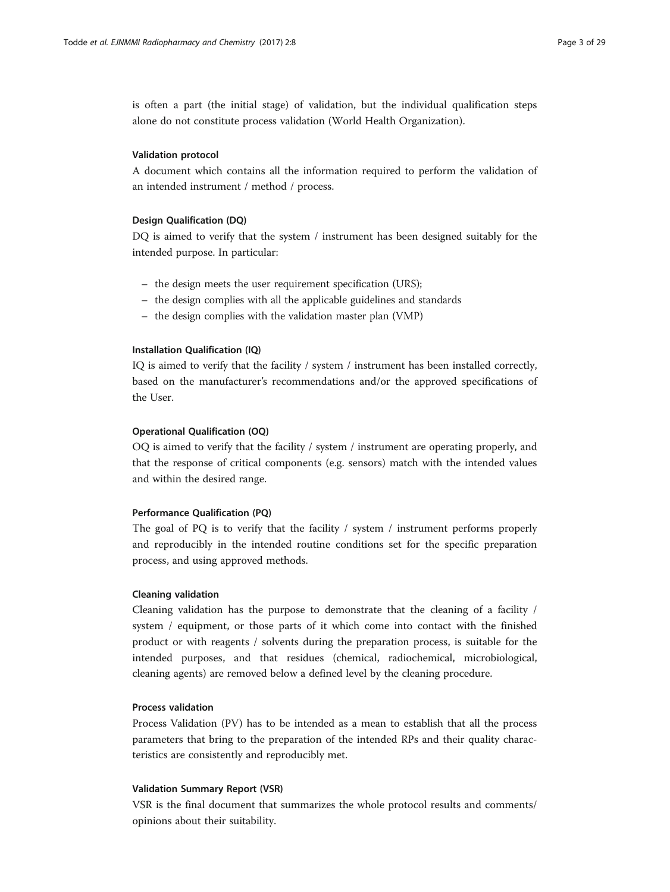is often a part (the initial stage) of validation, but the individual qualification steps alone do not constitute process validation [\(World Health Organization](#page-28-0)).

#### Validation protocol

A document which contains all the information required to perform the validation of an intended instrument / method / process.

#### Design Qualification (DQ)

DQ is aimed to verify that the system / instrument has been designed suitably for the intended purpose. In particular:

- the design meets the user requirement specification (URS);
- the design complies with all the applicable guidelines and standards
- the design complies with the validation master plan (VMP)

#### Installation Qualification (IQ)

IQ is aimed to verify that the facility / system / instrument has been installed correctly, based on the manufacturer's recommendations and/or the approved specifications of the User.

#### Operational Qualification (OQ)

OQ is aimed to verify that the facility / system / instrument are operating properly, and that the response of critical components (e.g. sensors) match with the intended values and within the desired range.

#### Performance Qualification (PQ)

The goal of PQ is to verify that the facility / system / instrument performs properly and reproducibly in the intended routine conditions set for the specific preparation process, and using approved methods.

#### Cleaning validation

Cleaning validation has the purpose to demonstrate that the cleaning of a facility / system / equipment, or those parts of it which come into contact with the finished product or with reagents / solvents during the preparation process, is suitable for the intended purposes, and that residues (chemical, radiochemical, microbiological, cleaning agents) are removed below a defined level by the cleaning procedure.

#### Process validation

Process Validation (PV) has to be intended as a mean to establish that all the process parameters that bring to the preparation of the intended RPs and their quality characteristics are consistently and reproducibly met.

#### Validation Summary Report (VSR)

VSR is the final document that summarizes the whole protocol results and comments/ opinions about their suitability.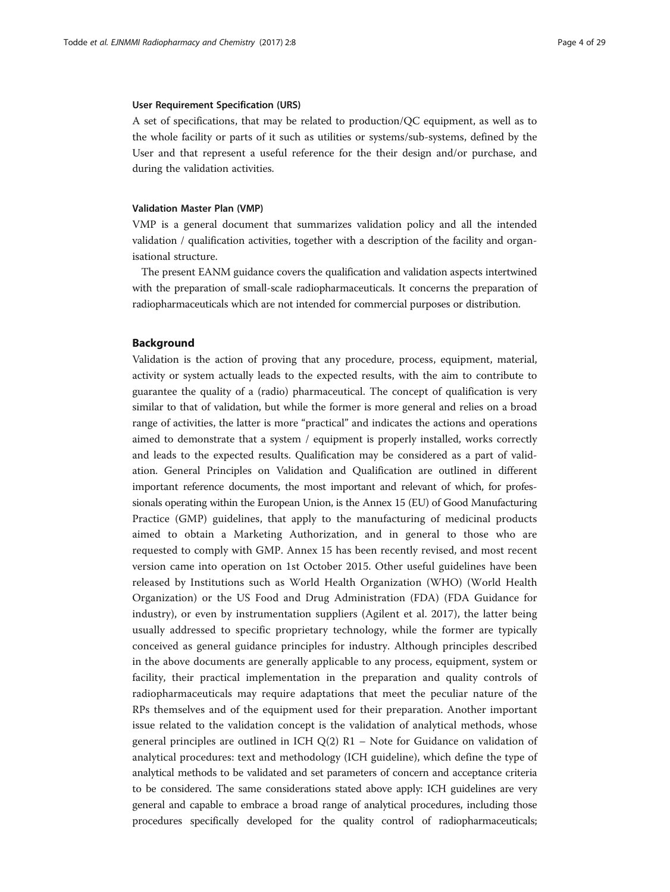#### User Requirement Specification (URS)

A set of specifications, that may be related to production/QC equipment, as well as to the whole facility or parts of it such as utilities or systems/sub-systems, defined by the User and that represent a useful reference for the their design and/or purchase, and during the validation activities.

#### Validation Master Plan (VMP)

VMP is a general document that summarizes validation policy and all the intended validation / qualification activities, together with a description of the facility and organisational structure.

The present EANM guidance covers the qualification and validation aspects intertwined with the preparation of small-scale radiopharmaceuticals. It concerns the preparation of radiopharmaceuticals which are not intended for commercial purposes or distribution.

#### Background

Validation is the action of proving that any procedure, process, equipment, material, activity or system actually leads to the expected results, with the aim to contribute to guarantee the quality of a (radio) pharmaceutical. The concept of qualification is very similar to that of validation, but while the former is more general and relies on a broad range of activities, the latter is more "practical" and indicates the actions and operations aimed to demonstrate that a system / equipment is properly installed, works correctly and leads to the expected results. Qualification may be considered as a part of validation. General Principles on Validation and Qualification are outlined in different important reference documents, the most important and relevant of which, for professionals operating within the European Union, is the Annex 15 [\(EU](#page-27-0)) of Good Manufacturing Practice (GMP) guidelines, that apply to the manufacturing of medicinal products aimed to obtain a Marketing Authorization, and in general to those who are requested to comply with GMP. Annex 15 has been recently revised, and most recent version came into operation on 1st October 2015. Other useful guidelines have been released by Institutions such as World Health Organization (WHO) ([World Health](#page-28-0) [Organization](#page-28-0)) or the US Food and Drug Administration (FDA) [\(FDA Guidance for](#page-27-0) [industry\)](#page-27-0), or even by instrumentation suppliers (Agilent et al. [2017](#page-27-0)), the latter being usually addressed to specific proprietary technology, while the former are typically conceived as general guidance principles for industry. Although principles described in the above documents are generally applicable to any process, equipment, system or facility, their practical implementation in the preparation and quality controls of radiopharmaceuticals may require adaptations that meet the peculiar nature of the RPs themselves and of the equipment used for their preparation. Another important issue related to the validation concept is the validation of analytical methods, whose general principles are outlined in ICH  $Q(2)$  R1 – Note for Guidance on validation of analytical procedures: text and methodology [\(ICH guideline\)](#page-27-0), which define the type of analytical methods to be validated and set parameters of concern and acceptance criteria to be considered. The same considerations stated above apply: ICH guidelines are very general and capable to embrace a broad range of analytical procedures, including those procedures specifically developed for the quality control of radiopharmaceuticals;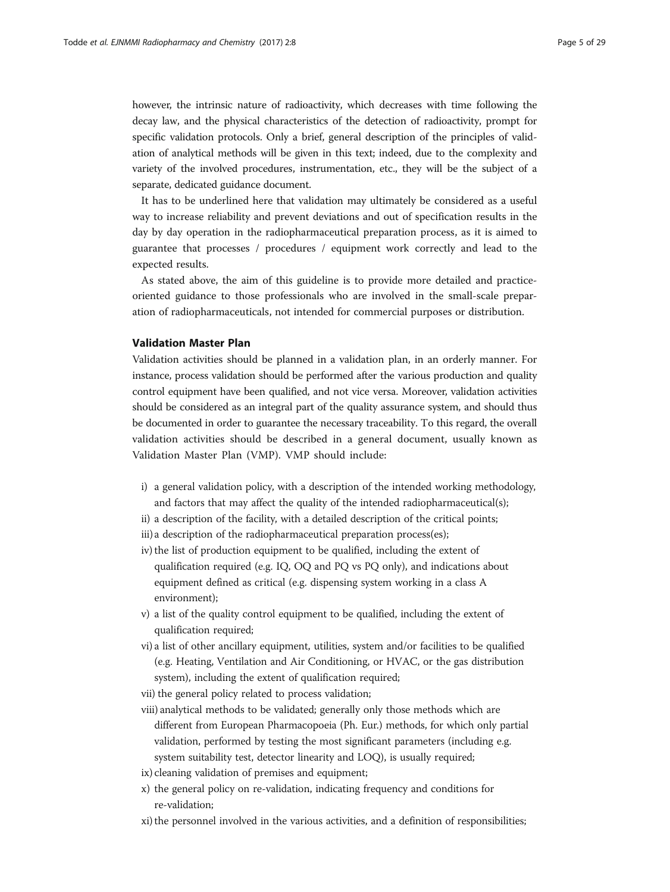however, the intrinsic nature of radioactivity, which decreases with time following the decay law, and the physical characteristics of the detection of radioactivity, prompt for specific validation protocols. Only a brief, general description of the principles of validation of analytical methods will be given in this text; indeed, due to the complexity and variety of the involved procedures, instrumentation, etc., they will be the subject of a separate, dedicated guidance document.

It has to be underlined here that validation may ultimately be considered as a useful way to increase reliability and prevent deviations and out of specification results in the day by day operation in the radiopharmaceutical preparation process, as it is aimed to guarantee that processes / procedures / equipment work correctly and lead to the expected results.

As stated above, the aim of this guideline is to provide more detailed and practiceoriented guidance to those professionals who are involved in the small-scale preparation of radiopharmaceuticals, not intended for commercial purposes or distribution.

#### Validation Master Plan

Validation activities should be planned in a validation plan, in an orderly manner. For instance, process validation should be performed after the various production and quality control equipment have been qualified, and not vice versa. Moreover, validation activities should be considered as an integral part of the quality assurance system, and should thus be documented in order to guarantee the necessary traceability. To this regard, the overall validation activities should be described in a general document, usually known as Validation Master Plan (VMP). VMP should include:

- i) a general validation policy, with a description of the intended working methodology, and factors that may affect the quality of the intended radiopharmaceutical(s);
- ii) a description of the facility, with a detailed description of the critical points;
- iii) a description of the radiopharmaceutical preparation process(es);
- iv) the list of production equipment to be qualified, including the extent of qualification required (e.g. IQ, OQ and PQ vs PQ only), and indications about equipment defined as critical (e.g. dispensing system working in a class A environment);
- v) a list of the quality control equipment to be qualified, including the extent of qualification required;
- vi) a list of other ancillary equipment, utilities, system and/or facilities to be qualified (e.g. Heating, Ventilation and Air Conditioning, or HVAC, or the gas distribution system), including the extent of qualification required;
- vii) the general policy related to process validation;
- viii) analytical methods to be validated; generally only those methods which are different from European Pharmacopoeia (Ph. Eur.) methods, for which only partial validation, performed by testing the most significant parameters (including e.g. system suitability test, detector linearity and LOQ), is usually required;
- ix) cleaning validation of premises and equipment;
- x) the general policy on re-validation, indicating frequency and conditions for re-validation;
- xi) the personnel involved in the various activities, and a definition of responsibilities;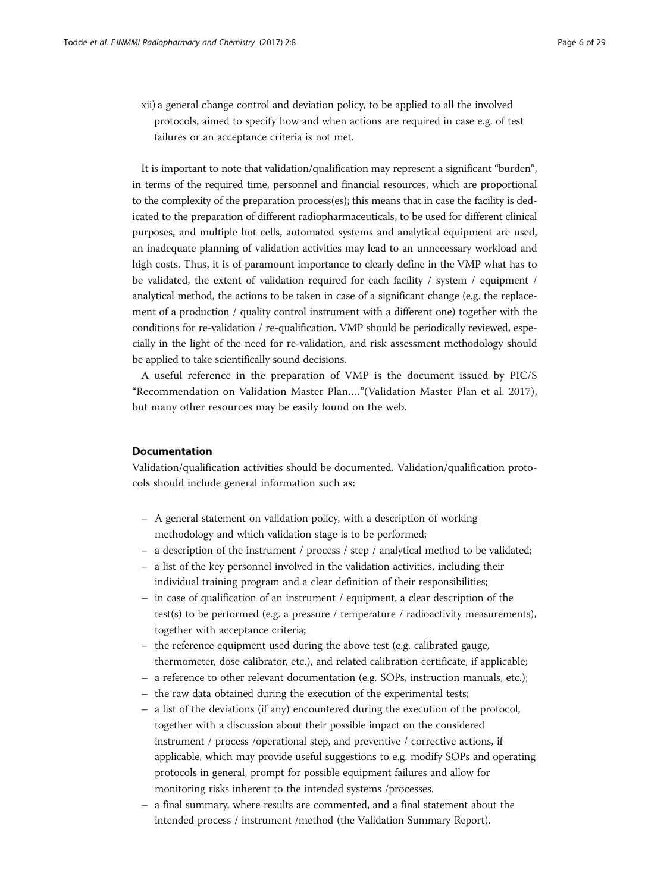xii) a general change control and deviation policy, to be applied to all the involved protocols, aimed to specify how and when actions are required in case e.g. of test failures or an acceptance criteria is not met.

It is important to note that validation/qualification may represent a significant "burden", in terms of the required time, personnel and financial resources, which are proportional to the complexity of the preparation process(es); this means that in case the facility is dedicated to the preparation of different radiopharmaceuticals, to be used for different clinical purposes, and multiple hot cells, automated systems and analytical equipment are used, an inadequate planning of validation activities may lead to an unnecessary workload and high costs. Thus, it is of paramount importance to clearly define in the VMP what has to be validated, the extent of validation required for each facility / system / equipment / analytical method, the actions to be taken in case of a significant change (e.g. the replacement of a production / quality control instrument with a different one) together with the conditions for re-validation / re-qualification. VMP should be periodically reviewed, especially in the light of the need for re-validation, and risk assessment methodology should be applied to take scientifically sound decisions.

A useful reference in the preparation of VMP is the document issued by PIC/S "Recommendation on Validation Master Plan…."(Validation Master Plan et al. [2017](#page-28-0)), but many other resources may be easily found on the web.

#### Documentation

Validation/qualification activities should be documented. Validation/qualification protocols should include general information such as:

- A general statement on validation policy, with a description of working methodology and which validation stage is to be performed;
- a description of the instrument / process / step / analytical method to be validated;
- a list of the key personnel involved in the validation activities, including their individual training program and a clear definition of their responsibilities;
- in case of qualification of an instrument / equipment, a clear description of the test(s) to be performed (e.g. a pressure / temperature / radioactivity measurements), together with acceptance criteria;
- the reference equipment used during the above test (e.g. calibrated gauge, thermometer, dose calibrator, etc.), and related calibration certificate, if applicable;
- a reference to other relevant documentation (e.g. SOPs, instruction manuals, etc.);
- the raw data obtained during the execution of the experimental tests;
- a list of the deviations (if any) encountered during the execution of the protocol, together with a discussion about their possible impact on the considered instrument / process /operational step, and preventive / corrective actions, if applicable, which may provide useful suggestions to e.g. modify SOPs and operating protocols in general, prompt for possible equipment failures and allow for monitoring risks inherent to the intended systems /processes.
- a final summary, where results are commented, and a final statement about the intended process / instrument /method (the Validation Summary Report).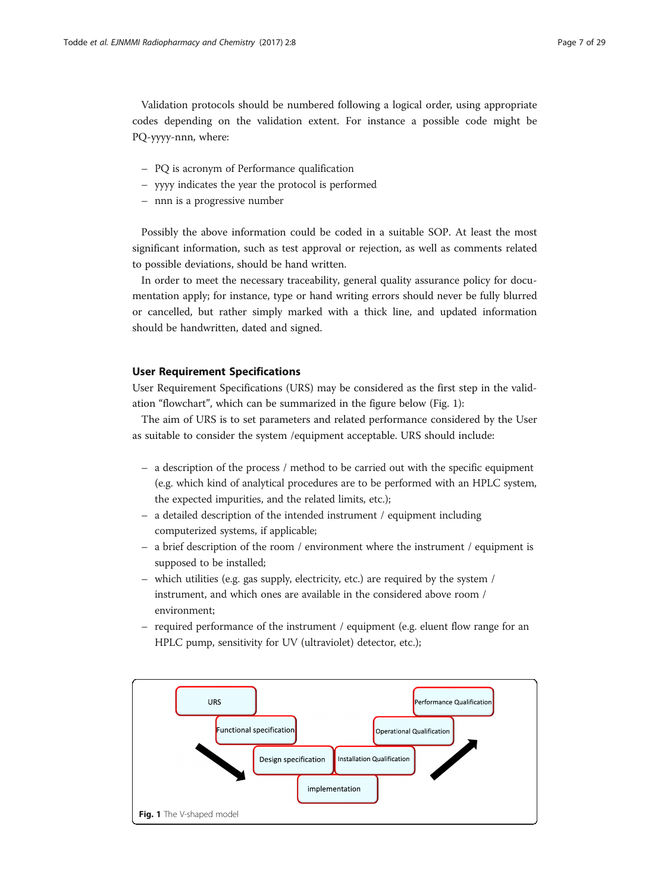Validation protocols should be numbered following a logical order, using appropriate codes depending on the validation extent. For instance a possible code might be PQ-yyyy-nnn, where:

- PQ is acronym of Performance qualification
- yyyy indicates the year the protocol is performed
- nnn is a progressive number

Possibly the above information could be coded in a suitable SOP. At least the most significant information, such as test approval or rejection, as well as comments related to possible deviations, should be hand written.

In order to meet the necessary traceability, general quality assurance policy for documentation apply; for instance, type or hand writing errors should never be fully blurred or cancelled, but rather simply marked with a thick line, and updated information should be handwritten, dated and signed.

#### User Requirement Specifications

User Requirement Specifications (URS) may be considered as the first step in the validation "flowchart", which can be summarized in the figure below (Fig. 1):

The aim of URS is to set parameters and related performance considered by the User as suitable to consider the system /equipment acceptable. URS should include:

- a description of the process / method to be carried out with the specific equipment (e.g. which kind of analytical procedures are to be performed with an HPLC system, the expected impurities, and the related limits, etc.);
- a detailed description of the intended instrument / equipment including computerized systems, if applicable;
- a brief description of the room / environment where the instrument / equipment is supposed to be installed;
- which utilities (e.g. gas supply, electricity, etc.) are required by the system / instrument, and which ones are available in the considered above room / environment;
- required performance of the instrument / equipment (e.g. eluent flow range for an HPLC pump, sensitivity for UV (ultraviolet) detector, etc.);

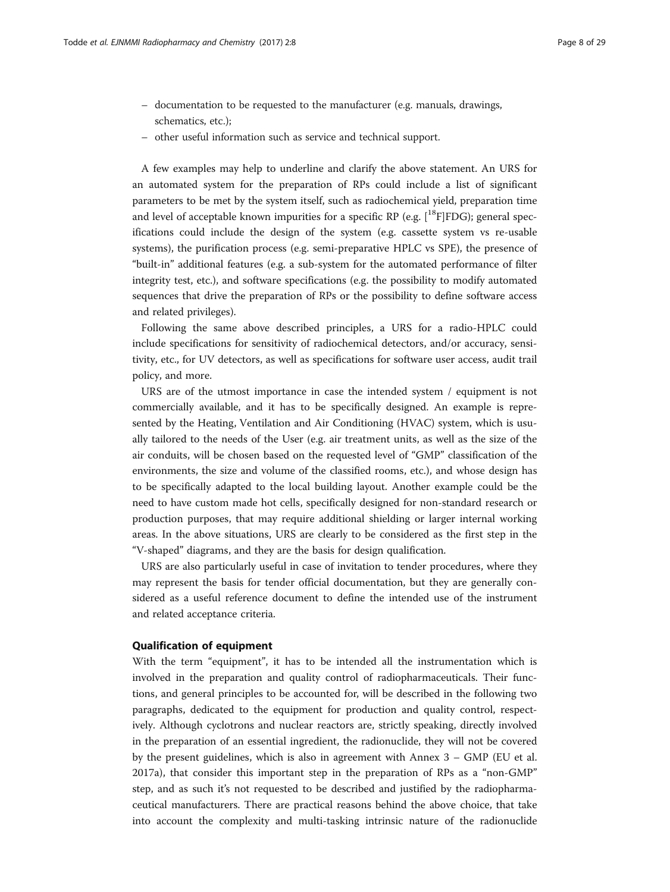- documentation to be requested to the manufacturer (e.g. manuals, drawings, schematics, etc.);
- other useful information such as service and technical support.

A few examples may help to underline and clarify the above statement. An URS for an automated system for the preparation of RPs could include a list of significant parameters to be met by the system itself, such as radiochemical yield, preparation time and level of acceptable known impurities for a specific RP (e.g.  $[^{18}F]FDG$ ); general specifications could include the design of the system (e.g. cassette system vs re-usable systems), the purification process (e.g. semi-preparative HPLC vs SPE), the presence of "built-in" additional features (e.g. a sub-system for the automated performance of filter integrity test, etc.), and software specifications (e.g. the possibility to modify automated sequences that drive the preparation of RPs or the possibility to define software access and related privileges).

Following the same above described principles, a URS for a radio-HPLC could include specifications for sensitivity of radiochemical detectors, and/or accuracy, sensitivity, etc., for UV detectors, as well as specifications for software user access, audit trail policy, and more.

URS are of the utmost importance in case the intended system / equipment is not commercially available, and it has to be specifically designed. An example is represented by the Heating, Ventilation and Air Conditioning (HVAC) system, which is usually tailored to the needs of the User (e.g. air treatment units, as well as the size of the air conduits, will be chosen based on the requested level of "GMP" classification of the environments, the size and volume of the classified rooms, etc.), and whose design has to be specifically adapted to the local building layout. Another example could be the need to have custom made hot cells, specifically designed for non-standard research or production purposes, that may require additional shielding or larger internal working areas. In the above situations, URS are clearly to be considered as the first step in the "V-shaped" diagrams, and they are the basis for design qualification.

URS are also particularly useful in case of invitation to tender procedures, where they may represent the basis for tender official documentation, but they are generally considered as a useful reference document to define the intended use of the instrument and related acceptance criteria.

#### Qualification of equipment

With the term "equipment", it has to be intended all the instrumentation which is involved in the preparation and quality control of radiopharmaceuticals. Their functions, and general principles to be accounted for, will be described in the following two paragraphs, dedicated to the equipment for production and quality control, respectively. Although cyclotrons and nuclear reactors are, strictly speaking, directly involved in the preparation of an essential ingredient, the radionuclide, they will not be covered by the present guidelines, which is also in agreement with Annex 3 – GMP (EU et al. [2017a\)](#page-27-0), that consider this important step in the preparation of RPs as a "non-GMP" step, and as such it's not requested to be described and justified by the radiopharmaceutical manufacturers. There are practical reasons behind the above choice, that take into account the complexity and multi-tasking intrinsic nature of the radionuclide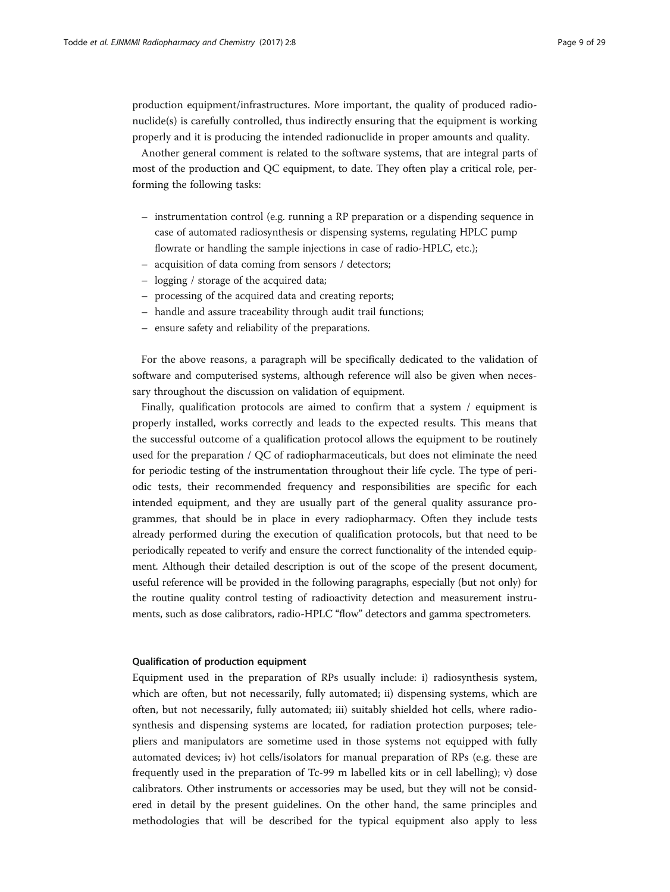production equipment/infrastructures. More important, the quality of produced radionuclide(s) is carefully controlled, thus indirectly ensuring that the equipment is working properly and it is producing the intended radionuclide in proper amounts and quality.

Another general comment is related to the software systems, that are integral parts of most of the production and QC equipment, to date. They often play a critical role, performing the following tasks:

- instrumentation control (e.g. running a RP preparation or a dispending sequence in case of automated radiosynthesis or dispensing systems, regulating HPLC pump flowrate or handling the sample injections in case of radio-HPLC, etc.);
- acquisition of data coming from sensors / detectors;
- logging / storage of the acquired data;
- processing of the acquired data and creating reports;
- handle and assure traceability through audit trail functions;
- ensure safety and reliability of the preparations.

For the above reasons, a paragraph will be specifically dedicated to the validation of software and computerised systems, although reference will also be given when necessary throughout the discussion on validation of equipment.

Finally, qualification protocols are aimed to confirm that a system / equipment is properly installed, works correctly and leads to the expected results. This means that the successful outcome of a qualification protocol allows the equipment to be routinely used for the preparation / QC of radiopharmaceuticals, but does not eliminate the need for periodic testing of the instrumentation throughout their life cycle. The type of periodic tests, their recommended frequency and responsibilities are specific for each intended equipment, and they are usually part of the general quality assurance programmes, that should be in place in every radiopharmacy. Often they include tests already performed during the execution of qualification protocols, but that need to be periodically repeated to verify and ensure the correct functionality of the intended equipment. Although their detailed description is out of the scope of the present document, useful reference will be provided in the following paragraphs, especially (but not only) for the routine quality control testing of radioactivity detection and measurement instruments, such as dose calibrators, radio-HPLC "flow" detectors and gamma spectrometers.

#### Qualification of production equipment

Equipment used in the preparation of RPs usually include: i) radiosynthesis system, which are often, but not necessarily, fully automated; ii) dispensing systems, which are often, but not necessarily, fully automated; iii) suitably shielded hot cells, where radiosynthesis and dispensing systems are located, for radiation protection purposes; telepliers and manipulators are sometime used in those systems not equipped with fully automated devices; iv) hot cells/isolators for manual preparation of RPs (e.g. these are frequently used in the preparation of Tc-99 m labelled kits or in cell labelling); v) dose calibrators. Other instruments or accessories may be used, but they will not be considered in detail by the present guidelines. On the other hand, the same principles and methodologies that will be described for the typical equipment also apply to less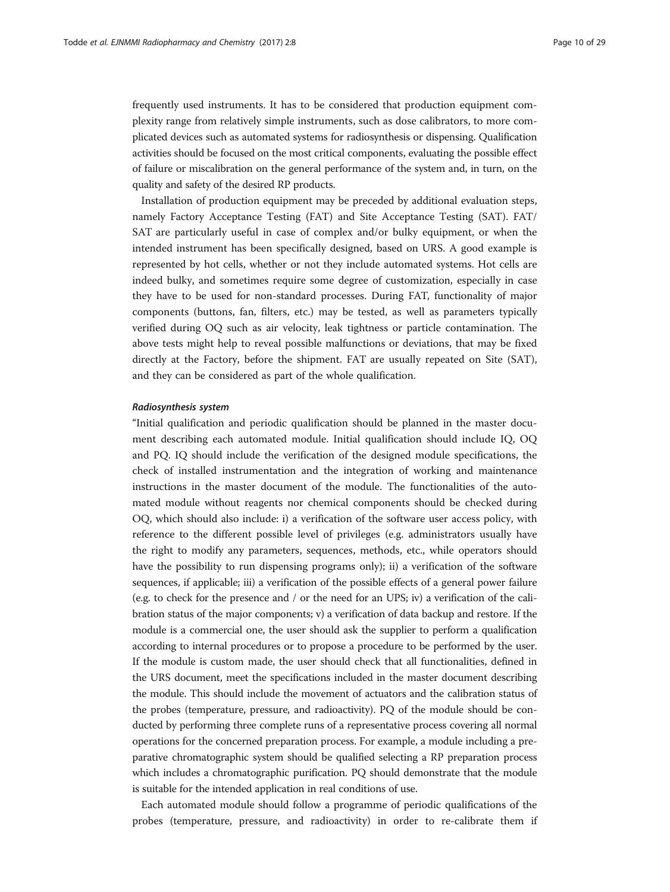frequently used instruments. It has to be considered that production equipment complexity range from relatively simple instruments, such as dose calibrators, to more complicated devices such as automated systems for radiosynthesis or dispensing. Qualification activities should be focused on the most critical components, evaluating the possible effect of failure or miscalibration on the general performance of the system and, in turn, on the quality and safety of the desired RP products.

Installation of production equipment may be preceded by additional evaluation steps, namely Factory Acceptance Testing (FAT) and Site Acceptance Testing (SAT). FAT/ SAT are particularly useful in case of complex and/or bulky equipment, or when the intended instrument has been specifically designed, based on URS. A good example is represented by hot cells, whether or not they include automated systems. Hot cells are indeed bulky, and sometimes require some degree of customization, especially in case they have to be used for non-standard processes. During FAT, functionality of major components (buttons, fan, filters, etc.) may be tested, as well as parameters typically verified during OQ such as air velocity, leak tightness or particle contamination. The above tests might help to reveal possible malfunctions or deviations, that may be fixed directly at the Factory, before the shipment. FAT are usually repeated on Site (SAT), and they can be considered as part of the whole qualification.

#### Radiosynthesis system

"Initial qualification and periodic qualification should be planned in the master document describing each automated module. Initial qualification should include IQ, OQ and PQ. IQ should include the verification of the designed module specifications, the check of installed instrumentation and the integration of working and maintenance instructions in the master document of the module. The functionalities of the automated module without reagents nor chemical components should be checked during OQ, which should also include: i) a verification of the software user access policy, with reference to the different possible level of privileges (e.g. administrators usually have the right to modify any parameters, sequences, methods, etc., while operators should have the possibility to run dispensing programs only); ii) a verification of the software sequences, if applicable; iii) a verification of the possible effects of a general power failure (e.g. to check for the presence and / or the need for an UPS; iv) a verification of the calibration status of the major components; v) a verification of data backup and restore. If the module is a commercial one, the user should ask the supplier to perform a qualification according to internal procedures or to propose a procedure to be performed by the user. If the module is custom made, the user should check that all functionalities, defined in the URS document, meet the specifications included in the master document describing the module. This should include the movement of actuators and the calibration status of the probes (temperature, pressure, and radioactivity). PQ of the module should be conducted by performing three complete runs of a representative process covering all normal operations for the concerned preparation process. For example, a module including a preparative chromatographic system should be qualified selecting a RP preparation process which includes a chromatographic purification. PQ should demonstrate that the module is suitable for the intended application in real conditions of use.

Each automated module should follow a programme of periodic qualifications of the probes (temperature, pressure, and radioactivity) in order to re-calibrate them if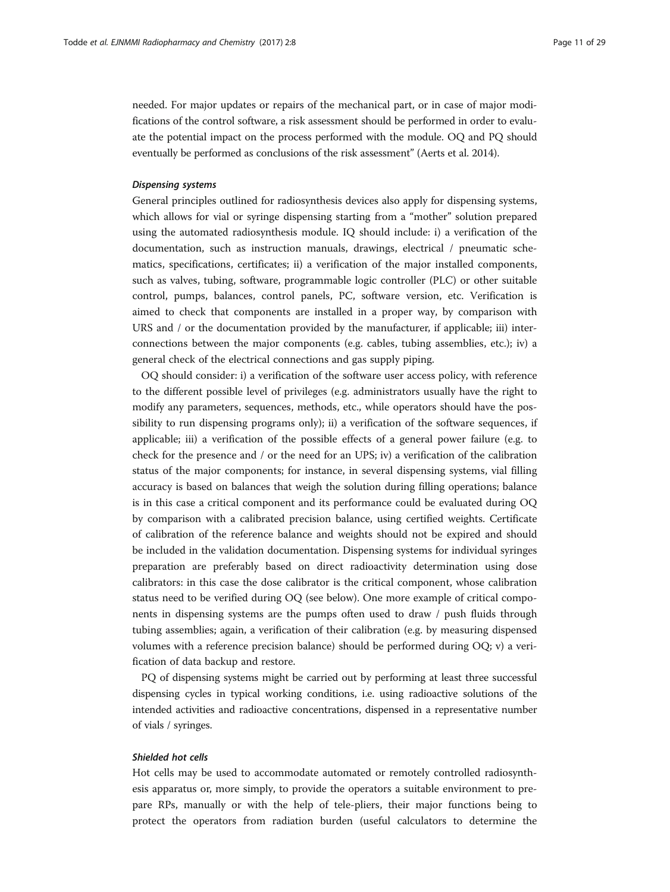needed. For major updates or repairs of the mechanical part, or in case of major modifications of the control software, a risk assessment should be performed in order to evaluate the potential impact on the process performed with the module. OQ and PQ should eventually be performed as conclusions of the risk assessment" (Aerts et al. [2014\)](#page-27-0).

#### Dispensing systems

General principles outlined for radiosynthesis devices also apply for dispensing systems, which allows for vial or syringe dispensing starting from a "mother" solution prepared using the automated radiosynthesis module. IQ should include: i) a verification of the documentation, such as instruction manuals, drawings, electrical / pneumatic schematics, specifications, certificates; ii) a verification of the major installed components, such as valves, tubing, software, programmable logic controller (PLC) or other suitable control, pumps, balances, control panels, PC, software version, etc. Verification is aimed to check that components are installed in a proper way, by comparison with URS and / or the documentation provided by the manufacturer, if applicable; iii) interconnections between the major components (e.g. cables, tubing assemblies, etc.); iv) a general check of the electrical connections and gas supply piping.

OQ should consider: i) a verification of the software user access policy, with reference to the different possible level of privileges (e.g. administrators usually have the right to modify any parameters, sequences, methods, etc., while operators should have the possibility to run dispensing programs only); ii) a verification of the software sequences, if applicable; iii) a verification of the possible effects of a general power failure (e.g. to check for the presence and / or the need for an UPS; iv) a verification of the calibration status of the major components; for instance, in several dispensing systems, vial filling accuracy is based on balances that weigh the solution during filling operations; balance is in this case a critical component and its performance could be evaluated during OQ by comparison with a calibrated precision balance, using certified weights. Certificate of calibration of the reference balance and weights should not be expired and should be included in the validation documentation. Dispensing systems for individual syringes preparation are preferably based on direct radioactivity determination using dose calibrators: in this case the dose calibrator is the critical component, whose calibration status need to be verified during OQ (see below). One more example of critical components in dispensing systems are the pumps often used to draw / push fluids through tubing assemblies; again, a verification of their calibration (e.g. by measuring dispensed volumes with a reference precision balance) should be performed during OQ; v) a verification of data backup and restore.

PQ of dispensing systems might be carried out by performing at least three successful dispensing cycles in typical working conditions, i.e. using radioactive solutions of the intended activities and radioactive concentrations, dispensed in a representative number of vials / syringes.

#### Shielded hot cells

Hot cells may be used to accommodate automated or remotely controlled radiosynthesis apparatus or, more simply, to provide the operators a suitable environment to prepare RPs, manually or with the help of tele-pliers, their major functions being to protect the operators from radiation burden (useful calculators to determine the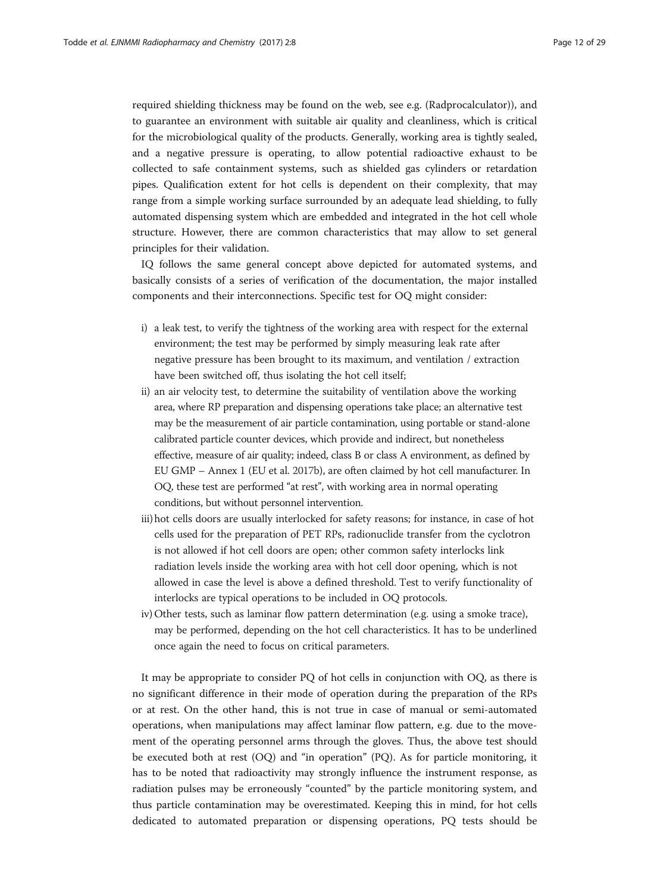required shielding thickness may be found on the web, see e.g. [\(Radprocalculator](#page-28-0))), and to guarantee an environment with suitable air quality and cleanliness, which is critical for the microbiological quality of the products. Generally, working area is tightly sealed, and a negative pressure is operating, to allow potential radioactive exhaust to be collected to safe containment systems, such as shielded gas cylinders or retardation pipes. Qualification extent for hot cells is dependent on their complexity, that may range from a simple working surface surrounded by an adequate lead shielding, to fully automated dispensing system which are embedded and integrated in the hot cell whole structure. However, there are common characteristics that may allow to set general principles for their validation.

IQ follows the same general concept above depicted for automated systems, and basically consists of a series of verification of the documentation, the major installed components and their interconnections. Specific test for OQ might consider:

- i) a leak test, to verify the tightness of the working area with respect for the external environment; the test may be performed by simply measuring leak rate after negative pressure has been brought to its maximum, and ventilation / extraction have been switched off, thus isolating the hot cell itself;
- ii) an air velocity test, to determine the suitability of ventilation above the working area, where RP preparation and dispensing operations take place; an alternative test may be the measurement of air particle contamination, using portable or stand-alone calibrated particle counter devices, which provide and indirect, but nonetheless effective, measure of air quality; indeed, class B or class A environment, as defined by EU GMP – Annex 1 (EU et al. [2017b\)](#page-27-0), are often claimed by hot cell manufacturer. In OQ, these test are performed "at rest", with working area in normal operating conditions, but without personnel intervention.
- iii) hot cells doors are usually interlocked for safety reasons; for instance, in case of hot cells used for the preparation of PET RPs, radionuclide transfer from the cyclotron is not allowed if hot cell doors are open; other common safety interlocks link radiation levels inside the working area with hot cell door opening, which is not allowed in case the level is above a defined threshold. Test to verify functionality of interlocks are typical operations to be included in OQ protocols.
- iv) Other tests, such as laminar flow pattern determination (e.g. using a smoke trace), may be performed, depending on the hot cell characteristics. It has to be underlined once again the need to focus on critical parameters.

It may be appropriate to consider PQ of hot cells in conjunction with OQ, as there is no significant difference in their mode of operation during the preparation of the RPs or at rest. On the other hand, this is not true in case of manual or semi-automated operations, when manipulations may affect laminar flow pattern, e.g. due to the movement of the operating personnel arms through the gloves. Thus, the above test should be executed both at rest (OQ) and "in operation" (PQ). As for particle monitoring, it has to be noted that radioactivity may strongly influence the instrument response, as radiation pulses may be erroneously "counted" by the particle monitoring system, and thus particle contamination may be overestimated. Keeping this in mind, for hot cells dedicated to automated preparation or dispensing operations, PQ tests should be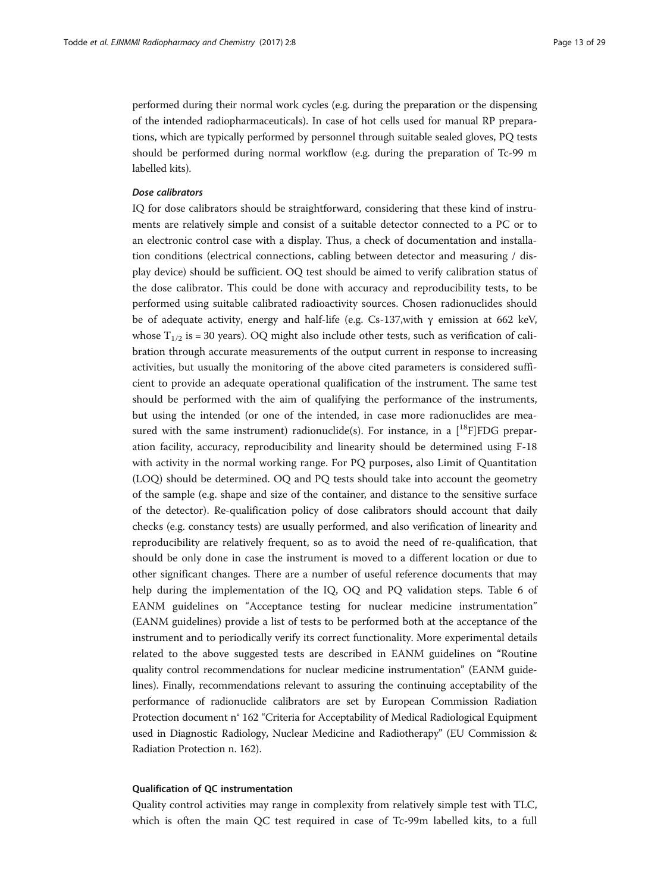performed during their normal work cycles (e.g. during the preparation or the dispensing of the intended radiopharmaceuticals). In case of hot cells used for manual RP preparations, which are typically performed by personnel through suitable sealed gloves, PQ tests should be performed during normal workflow (e.g. during the preparation of Tc-99 m labelled kits).

#### Dose calibrators

IQ for dose calibrators should be straightforward, considering that these kind of instruments are relatively simple and consist of a suitable detector connected to a PC or to an electronic control case with a display. Thus, a check of documentation and installation conditions (electrical connections, cabling between detector and measuring / display device) should be sufficient. OQ test should be aimed to verify calibration status of the dose calibrator. This could be done with accuracy and reproducibility tests, to be performed using suitable calibrated radioactivity sources. Chosen radionuclides should be of adequate activity, energy and half-life (e.g. Cs-137, with  $\gamma$  emission at 662 keV, whose  $T_{1/2}$  is = 30 years). OQ might also include other tests, such as verification of calibration through accurate measurements of the output current in response to increasing activities, but usually the monitoring of the above cited parameters is considered sufficient to provide an adequate operational qualification of the instrument. The same test should be performed with the aim of qualifying the performance of the instruments, but using the intended (or one of the intended, in case more radionuclides are measured with the same instrument) radionuclide(s). For instance, in a  $[^{18}F]FDG$  preparation facility, accuracy, reproducibility and linearity should be determined using F-18 with activity in the normal working range. For PQ purposes, also Limit of Quantitation (LOQ) should be determined. OQ and PQ tests should take into account the geometry of the sample (e.g. shape and size of the container, and distance to the sensitive surface of the detector). Re-qualification policy of dose calibrators should account that daily checks (e.g. constancy tests) are usually performed, and also verification of linearity and reproducibility are relatively frequent, so as to avoid the need of re-qualification, that should be only done in case the instrument is moved to a different location or due to other significant changes. There are a number of useful reference documents that may help during the implementation of the IQ, OQ and PQ validation steps. Table 6 of EANM guidelines on "Acceptance testing for nuclear medicine instrumentation" ([EANM guidelines\)](#page-27-0) provide a list of tests to be performed both at the acceptance of the instrument and to periodically verify its correct functionality. More experimental details related to the above suggested tests are described in EANM guidelines on "Routine quality control recommendations for nuclear medicine instrumentation" ([EANM guide](#page-27-0)[lines\)](#page-27-0). Finally, recommendations relevant to assuring the continuing acceptability of the performance of radionuclide calibrators are set by European Commission Radiation Protection document n° 162 "Criteria for Acceptability of Medical Radiological Equipment used in Diagnostic Radiology, Nuclear Medicine and Radiotherapy" [\(EU Commission &](#page-27-0) [Radiation Protection n. 162](#page-27-0)).

#### Qualification of QC instrumentation

Quality control activities may range in complexity from relatively simple test with TLC, which is often the main QC test required in case of Tc-99m labelled kits, to a full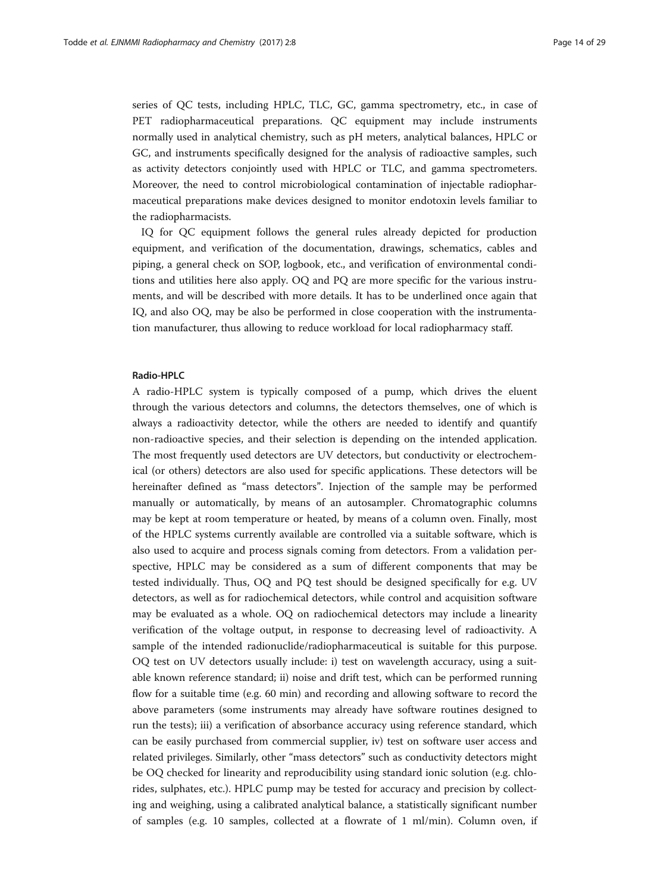series of QC tests, including HPLC, TLC, GC, gamma spectrometry, etc., in case of PET radiopharmaceutical preparations. QC equipment may include instruments normally used in analytical chemistry, such as pH meters, analytical balances, HPLC or GC, and instruments specifically designed for the analysis of radioactive samples, such as activity detectors conjointly used with HPLC or TLC, and gamma spectrometers. Moreover, the need to control microbiological contamination of injectable radiopharmaceutical preparations make devices designed to monitor endotoxin levels familiar to the radiopharmacists.

IQ for QC equipment follows the general rules already depicted for production equipment, and verification of the documentation, drawings, schematics, cables and piping, a general check on SOP, logbook, etc., and verification of environmental conditions and utilities here also apply. OQ and PQ are more specific for the various instruments, and will be described with more details. It has to be underlined once again that IQ, and also OQ, may be also be performed in close cooperation with the instrumentation manufacturer, thus allowing to reduce workload for local radiopharmacy staff.

#### Radio-HPLC

A radio-HPLC system is typically composed of a pump, which drives the eluent through the various detectors and columns, the detectors themselves, one of which is always a radioactivity detector, while the others are needed to identify and quantify non-radioactive species, and their selection is depending on the intended application. The most frequently used detectors are UV detectors, but conductivity or electrochemical (or others) detectors are also used for specific applications. These detectors will be hereinafter defined as "mass detectors". Injection of the sample may be performed manually or automatically, by means of an autosampler. Chromatographic columns may be kept at room temperature or heated, by means of a column oven. Finally, most of the HPLC systems currently available are controlled via a suitable software, which is also used to acquire and process signals coming from detectors. From a validation perspective, HPLC may be considered as a sum of different components that may be tested individually. Thus, OQ and PQ test should be designed specifically for e.g. UV detectors, as well as for radiochemical detectors, while control and acquisition software may be evaluated as a whole. OQ on radiochemical detectors may include a linearity verification of the voltage output, in response to decreasing level of radioactivity. A sample of the intended radionuclide/radiopharmaceutical is suitable for this purpose. OQ test on UV detectors usually include: i) test on wavelength accuracy, using a suitable known reference standard; ii) noise and drift test, which can be performed running flow for a suitable time (e.g. 60 min) and recording and allowing software to record the above parameters (some instruments may already have software routines designed to run the tests); iii) a verification of absorbance accuracy using reference standard, which can be easily purchased from commercial supplier, iv) test on software user access and related privileges. Similarly, other "mass detectors" such as conductivity detectors might be OQ checked for linearity and reproducibility using standard ionic solution (e.g. chlorides, sulphates, etc.). HPLC pump may be tested for accuracy and precision by collecting and weighing, using a calibrated analytical balance, a statistically significant number of samples (e.g. 10 samples, collected at a flowrate of 1 ml/min). Column oven, if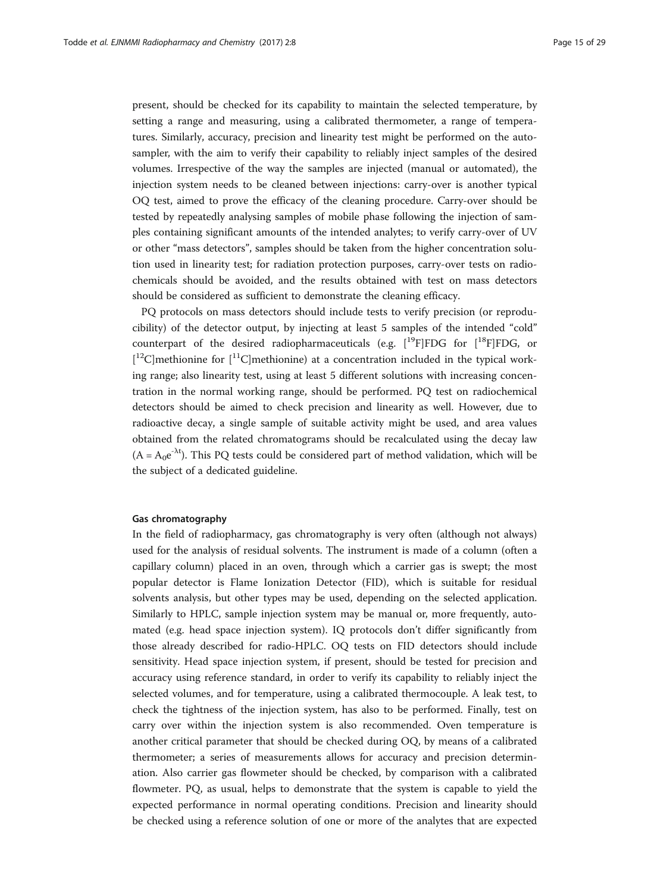present, should be checked for its capability to maintain the selected temperature, by setting a range and measuring, using a calibrated thermometer, a range of temperatures. Similarly, accuracy, precision and linearity test might be performed on the autosampler, with the aim to verify their capability to reliably inject samples of the desired volumes. Irrespective of the way the samples are injected (manual or automated), the injection system needs to be cleaned between injections: carry-over is another typical OQ test, aimed to prove the efficacy of the cleaning procedure. Carry-over should be tested by repeatedly analysing samples of mobile phase following the injection of samples containing significant amounts of the intended analytes; to verify carry-over of UV or other "mass detectors", samples should be taken from the higher concentration solution used in linearity test; for radiation protection purposes, carry-over tests on radiochemicals should be avoided, and the results obtained with test on mass detectors should be considered as sufficient to demonstrate the cleaning efficacy.

PQ protocols on mass detectors should include tests to verify precision (or reproducibility) of the detector output, by injecting at least 5 samples of the intended "cold" counterpart of the desired radiopharmaceuticals (e.g.  $[{}^{19}F]FDG$  for  $[{}^{18}F]FDG$ , or  $[{}^{12}C]$ methionine for  $[{}^{11}C]$ methionine) at a concentration included in the typical working range; also linearity test, using at least 5 different solutions with increasing concentration in the normal working range, should be performed. PQ test on radiochemical detectors should be aimed to check precision and linearity as well. However, due to radioactive decay, a single sample of suitable activity might be used, and area values obtained from the related chromatograms should be recalculated using the decay law  $(A = A_0 e^{-\lambda t})$ . This PQ tests could be considered part of method validation, which will be the subject of a dedicated guideline.

#### Gas chromatography

In the field of radiopharmacy, gas chromatography is very often (although not always) used for the analysis of residual solvents. The instrument is made of a column (often a capillary column) placed in an oven, through which a carrier gas is swept; the most popular detector is Flame Ionization Detector (FID), which is suitable for residual solvents analysis, but other types may be used, depending on the selected application. Similarly to HPLC, sample injection system may be manual or, more frequently, automated (e.g. head space injection system). IQ protocols don't differ significantly from those already described for radio-HPLC. OQ tests on FID detectors should include sensitivity. Head space injection system, if present, should be tested for precision and accuracy using reference standard, in order to verify its capability to reliably inject the selected volumes, and for temperature, using a calibrated thermocouple. A leak test, to check the tightness of the injection system, has also to be performed. Finally, test on carry over within the injection system is also recommended. Oven temperature is another critical parameter that should be checked during OQ, by means of a calibrated thermometer; a series of measurements allows for accuracy and precision determination. Also carrier gas flowmeter should be checked, by comparison with a calibrated flowmeter. PQ, as usual, helps to demonstrate that the system is capable to yield the expected performance in normal operating conditions. Precision and linearity should be checked using a reference solution of one or more of the analytes that are expected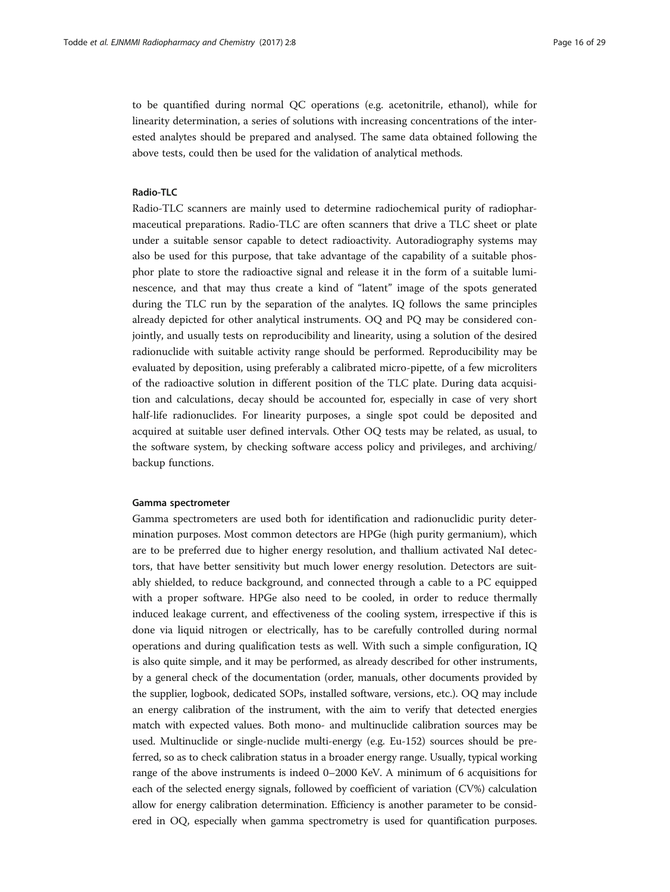to be quantified during normal QC operations (e.g. acetonitrile, ethanol), while for linearity determination, a series of solutions with increasing concentrations of the interested analytes should be prepared and analysed. The same data obtained following the above tests, could then be used for the validation of analytical methods.

#### Radio-TLC

Radio-TLC scanners are mainly used to determine radiochemical purity of radiopharmaceutical preparations. Radio-TLC are often scanners that drive a TLC sheet or plate under a suitable sensor capable to detect radioactivity. Autoradiography systems may also be used for this purpose, that take advantage of the capability of a suitable phosphor plate to store the radioactive signal and release it in the form of a suitable luminescence, and that may thus create a kind of "latent" image of the spots generated during the TLC run by the separation of the analytes. IQ follows the same principles already depicted for other analytical instruments. OQ and PQ may be considered conjointly, and usually tests on reproducibility and linearity, using a solution of the desired radionuclide with suitable activity range should be performed. Reproducibility may be evaluated by deposition, using preferably a calibrated micro-pipette, of a few microliters of the radioactive solution in different position of the TLC plate. During data acquisition and calculations, decay should be accounted for, especially in case of very short half-life radionuclides. For linearity purposes, a single spot could be deposited and acquired at suitable user defined intervals. Other OQ tests may be related, as usual, to the software system, by checking software access policy and privileges, and archiving/ backup functions.

#### Gamma spectrometer

Gamma spectrometers are used both for identification and radionuclidic purity determination purposes. Most common detectors are HPGe (high purity germanium), which are to be preferred due to higher energy resolution, and thallium activated NaI detectors, that have better sensitivity but much lower energy resolution. Detectors are suitably shielded, to reduce background, and connected through a cable to a PC equipped with a proper software. HPGe also need to be cooled, in order to reduce thermally induced leakage current, and effectiveness of the cooling system, irrespective if this is done via liquid nitrogen or electrically, has to be carefully controlled during normal operations and during qualification tests as well. With such a simple configuration, IQ is also quite simple, and it may be performed, as already described for other instruments, by a general check of the documentation (order, manuals, other documents provided by the supplier, logbook, dedicated SOPs, installed software, versions, etc.). OQ may include an energy calibration of the instrument, with the aim to verify that detected energies match with expected values. Both mono- and multinuclide calibration sources may be used. Multinuclide or single-nuclide multi-energy (e.g. Eu-152) sources should be preferred, so as to check calibration status in a broader energy range. Usually, typical working range of the above instruments is indeed 0–2000 KeV. A minimum of 6 acquisitions for each of the selected energy signals, followed by coefficient of variation (CV%) calculation allow for energy calibration determination. Efficiency is another parameter to be considered in OQ, especially when gamma spectrometry is used for quantification purposes.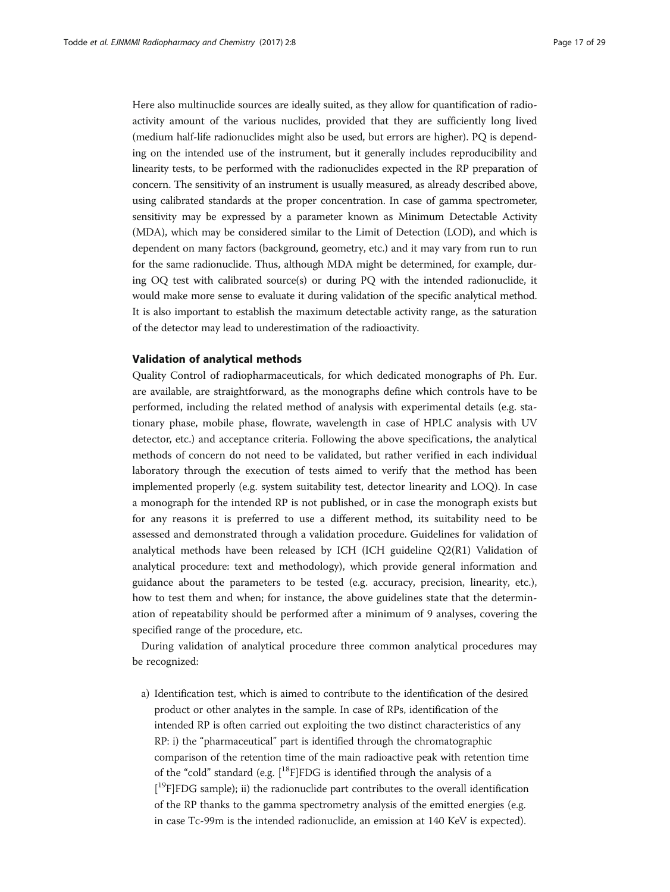Here also multinuclide sources are ideally suited, as they allow for quantification of radioactivity amount of the various nuclides, provided that they are sufficiently long lived (medium half-life radionuclides might also be used, but errors are higher). PQ is depending on the intended use of the instrument, but it generally includes reproducibility and linearity tests, to be performed with the radionuclides expected in the RP preparation of concern. The sensitivity of an instrument is usually measured, as already described above, using calibrated standards at the proper concentration. In case of gamma spectrometer, sensitivity may be expressed by a parameter known as Minimum Detectable Activity (MDA), which may be considered similar to the Limit of Detection (LOD), and which is dependent on many factors (background, geometry, etc.) and it may vary from run to run for the same radionuclide. Thus, although MDA might be determined, for example, during OQ test with calibrated source(s) or during PQ with the intended radionuclide, it would make more sense to evaluate it during validation of the specific analytical method. It is also important to establish the maximum detectable activity range, as the saturation of the detector may lead to underestimation of the radioactivity.

#### Validation of analytical methods

Quality Control of radiopharmaceuticals, for which dedicated monographs of Ph. Eur. are available, are straightforward, as the monographs define which controls have to be performed, including the related method of analysis with experimental details (e.g. stationary phase, mobile phase, flowrate, wavelength in case of HPLC analysis with UV detector, etc.) and acceptance criteria. Following the above specifications, the analytical methods of concern do not need to be validated, but rather verified in each individual laboratory through the execution of tests aimed to verify that the method has been implemented properly (e.g. system suitability test, detector linearity and LOQ). In case a monograph for the intended RP is not published, or in case the monograph exists but for any reasons it is preferred to use a different method, its suitability need to be assessed and demonstrated through a validation procedure. Guidelines for validation of analytical methods have been released by ICH ([ICH guideline Q2\(R1\) Validation of](#page-27-0) [analytical procedure: text and methodology](#page-27-0)), which provide general information and guidance about the parameters to be tested (e.g. accuracy, precision, linearity, etc.), how to test them and when; for instance, the above guidelines state that the determination of repeatability should be performed after a minimum of 9 analyses, covering the specified range of the procedure, etc.

During validation of analytical procedure three common analytical procedures may be recognized:

a) Identification test, which is aimed to contribute to the identification of the desired product or other analytes in the sample. In case of RPs, identification of the intended RP is often carried out exploiting the two distinct characteristics of any RP: i) the "pharmaceutical" part is identified through the chromatographic comparison of the retention time of the main radioactive peak with retention time of the "cold" standard (e.g.  $[$ <sup>18</sup>F]FDG is identified through the analysis of a [<sup>19</sup>F]FDG sample); ii) the radionuclide part contributes to the overall identification of the RP thanks to the gamma spectrometry analysis of the emitted energies (e.g. in case Tc-99m is the intended radionuclide, an emission at 140 KeV is expected).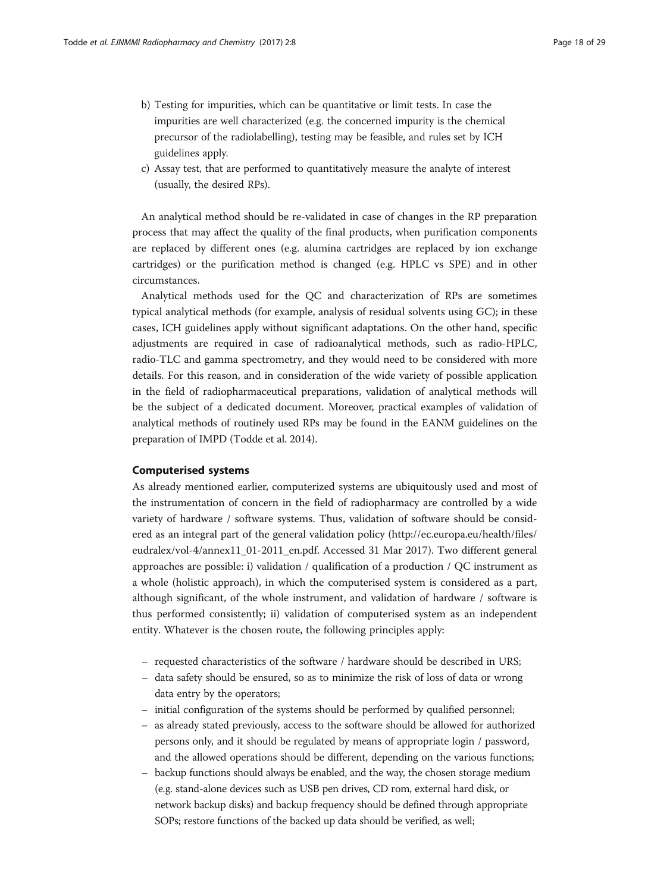- b) Testing for impurities, which can be quantitative or limit tests. In case the impurities are well characterized (e.g. the concerned impurity is the chemical precursor of the radiolabelling), testing may be feasible, and rules set by ICH guidelines apply.
- c) Assay test, that are performed to quantitatively measure the analyte of interest (usually, the desired RPs).

An analytical method should be re-validated in case of changes in the RP preparation process that may affect the quality of the final products, when purification components are replaced by different ones (e.g. alumina cartridges are replaced by ion exchange cartridges) or the purification method is changed (e.g. HPLC vs SPE) and in other circumstances.

Analytical methods used for the QC and characterization of RPs are sometimes typical analytical methods (for example, analysis of residual solvents using GC); in these cases, ICH guidelines apply without significant adaptations. On the other hand, specific adjustments are required in case of radioanalytical methods, such as radio-HPLC, radio-TLC and gamma spectrometry, and they would need to be considered with more details. For this reason, and in consideration of the wide variety of possible application in the field of radiopharmaceutical preparations, validation of analytical methods will be the subject of a dedicated document. Moreover, practical examples of validation of analytical methods of routinely used RPs may be found in the EANM guidelines on the preparation of IMPD (Todde et al. [2014\)](#page-28-0).

#### Computerised systems

As already mentioned earlier, computerized systems are ubiquitously used and most of the instrumentation of concern in the field of radiopharmacy are controlled by a wide variety of hardware / software systems. Thus, validation of software should be considered as an integral part of the general validation policy [\(http://ec.europa.eu/health/files/](http://ec.europa.eu/health/files/eudralex/vol-4/annex11_01-2011_en.pdf) [eudralex/vol-4/annex11\\_01-2011\\_en.pdf](http://ec.europa.eu/health/files/eudralex/vol-4/annex11_01-2011_en.pdf). Accessed 31 Mar [2017](#page-27-0)). Two different general approaches are possible: i) validation / qualification of a production /  $\overline{QC}$  instrument as a whole (holistic approach), in which the computerised system is considered as a part, although significant, of the whole instrument, and validation of hardware / software is thus performed consistently; ii) validation of computerised system as an independent entity. Whatever is the chosen route, the following principles apply:

- requested characteristics of the software / hardware should be described in URS;
- data safety should be ensured, so as to minimize the risk of loss of data or wrong data entry by the operators;
- initial configuration of the systems should be performed by qualified personnel;
- as already stated previously, access to the software should be allowed for authorized persons only, and it should be regulated by means of appropriate login / password, and the allowed operations should be different, depending on the various functions;
- backup functions should always be enabled, and the way, the chosen storage medium (e.g. stand-alone devices such as USB pen drives, CD rom, external hard disk, or network backup disks) and backup frequency should be defined through appropriate SOPs; restore functions of the backed up data should be verified, as well;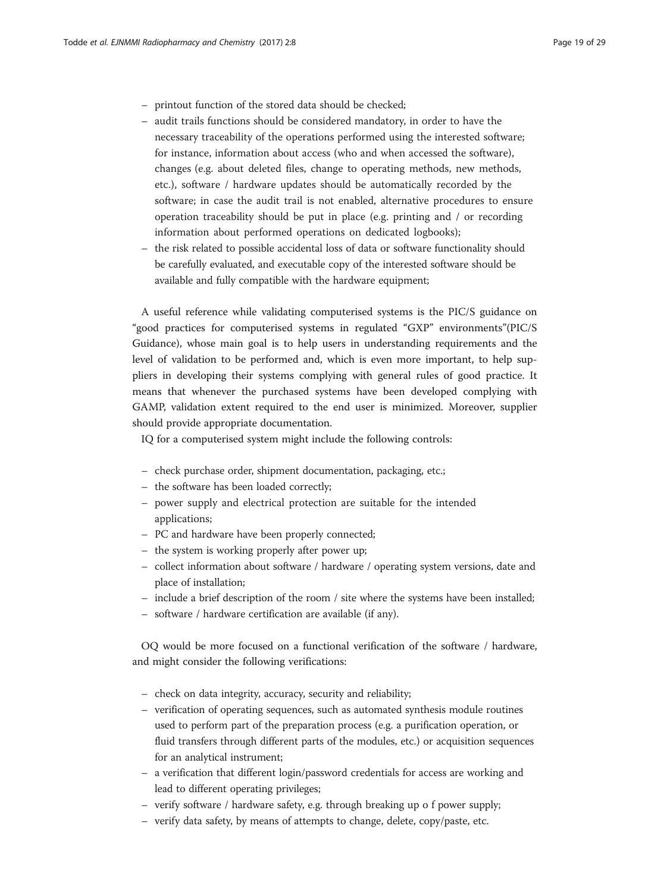- printout function of the stored data should be checked;
- audit trails functions should be considered mandatory, in order to have the necessary traceability of the operations performed using the interested software; for instance, information about access (who and when accessed the software), changes (e.g. about deleted files, change to operating methods, new methods, etc.), software / hardware updates should be automatically recorded by the software; in case the audit trail is not enabled, alternative procedures to ensure operation traceability should be put in place (e.g. printing and / or recording information about performed operations on dedicated logbooks);
- the risk related to possible accidental loss of data or software functionality should be carefully evaluated, and executable copy of the interested software should be available and fully compatible with the hardware equipment;

A useful reference while validating computerised systems is the PIC/S guidance on "good practices for computerised systems in regulated "GXP" environments"([PIC/S](#page-28-0) [Guidance\)](#page-28-0), whose main goal is to help users in understanding requirements and the level of validation to be performed and, which is even more important, to help suppliers in developing their systems complying with general rules of good practice. It means that whenever the purchased systems have been developed complying with GAMP, validation extent required to the end user is minimized. Moreover, supplier should provide appropriate documentation.

IQ for a computerised system might include the following controls:

- check purchase order, shipment documentation, packaging, etc.;
- the software has been loaded correctly;
- power supply and electrical protection are suitable for the intended applications;
- PC and hardware have been properly connected;
- the system is working properly after power up;
- collect information about software / hardware / operating system versions, date and place of installation;
- include a brief description of the room / site where the systems have been installed;
- software / hardware certification are available (if any).

OQ would be more focused on a functional verification of the software / hardware, and might consider the following verifications:

- check on data integrity, accuracy, security and reliability;
- verification of operating sequences, such as automated synthesis module routines used to perform part of the preparation process (e.g. a purification operation, or fluid transfers through different parts of the modules, etc.) or acquisition sequences for an analytical instrument;
- a verification that different login/password credentials for access are working and lead to different operating privileges;
- verify software / hardware safety, e.g. through breaking up o f power supply;
- verify data safety, by means of attempts to change, delete, copy/paste, etc.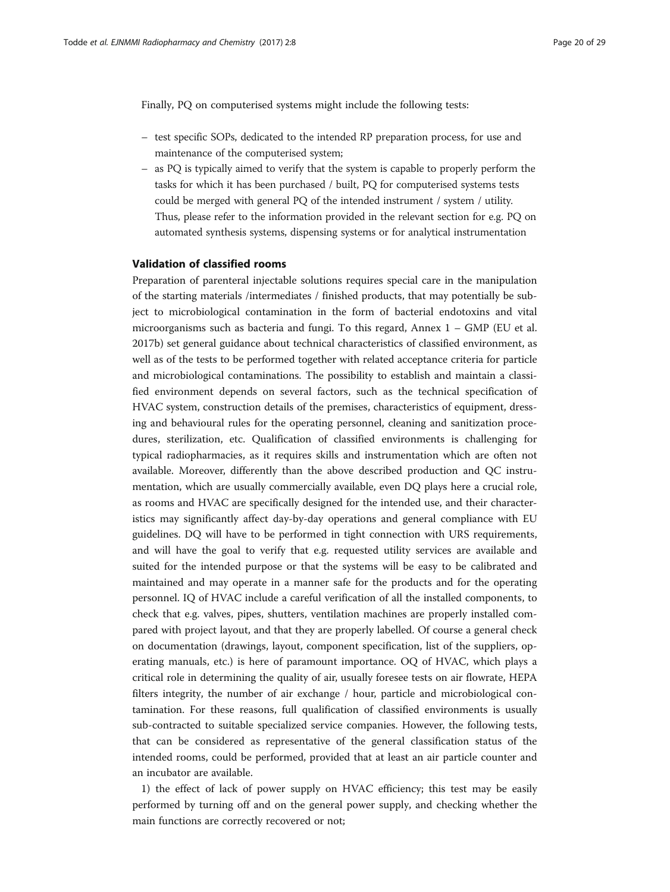Finally, PQ on computerised systems might include the following tests:

- test specific SOPs, dedicated to the intended RP preparation process, for use and maintenance of the computerised system;
- as PQ is typically aimed to verify that the system is capable to properly perform the tasks for which it has been purchased / built, PQ for computerised systems tests could be merged with general PQ of the intended instrument / system / utility. Thus, please refer to the information provided in the relevant section for e.g. PQ on automated synthesis systems, dispensing systems or for analytical instrumentation

#### Validation of classified rooms

Preparation of parenteral injectable solutions requires special care in the manipulation of the starting materials /intermediates / finished products, that may potentially be subject to microbiological contamination in the form of bacterial endotoxins and vital microorganisms such as bacteria and fungi. To this regard, Annex 1 – GMP (EU et al. [2017b](#page-27-0)) set general guidance about technical characteristics of classified environment, as well as of the tests to be performed together with related acceptance criteria for particle and microbiological contaminations. The possibility to establish and maintain a classified environment depends on several factors, such as the technical specification of HVAC system, construction details of the premises, characteristics of equipment, dressing and behavioural rules for the operating personnel, cleaning and sanitization procedures, sterilization, etc. Qualification of classified environments is challenging for typical radiopharmacies, as it requires skills and instrumentation which are often not available. Moreover, differently than the above described production and QC instrumentation, which are usually commercially available, even DQ plays here a crucial role, as rooms and HVAC are specifically designed for the intended use, and their characteristics may significantly affect day-by-day operations and general compliance with EU guidelines. DQ will have to be performed in tight connection with URS requirements, and will have the goal to verify that e.g. requested utility services are available and suited for the intended purpose or that the systems will be easy to be calibrated and maintained and may operate in a manner safe for the products and for the operating personnel. IQ of HVAC include a careful verification of all the installed components, to check that e.g. valves, pipes, shutters, ventilation machines are properly installed compared with project layout, and that they are properly labelled. Of course a general check on documentation (drawings, layout, component specification, list of the suppliers, operating manuals, etc.) is here of paramount importance. OQ of HVAC, which plays a critical role in determining the quality of air, usually foresee tests on air flowrate, HEPA filters integrity, the number of air exchange / hour, particle and microbiological contamination. For these reasons, full qualification of classified environments is usually sub-contracted to suitable specialized service companies. However, the following tests, that can be considered as representative of the general classification status of the intended rooms, could be performed, provided that at least an air particle counter and an incubator are available.

1) the effect of lack of power supply on HVAC efficiency; this test may be easily performed by turning off and on the general power supply, and checking whether the main functions are correctly recovered or not;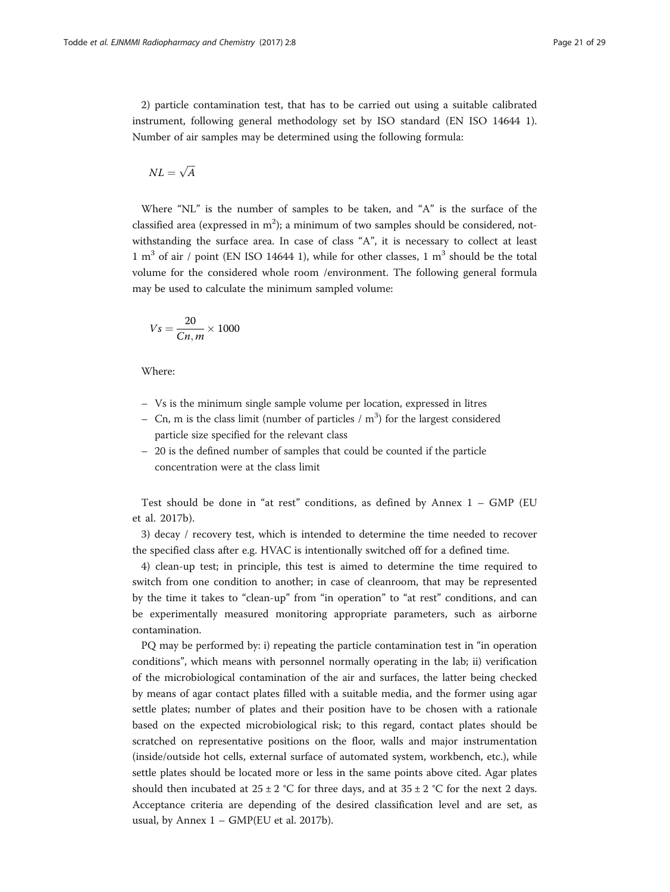2) particle contamination test, that has to be carried out using a suitable calibrated instrument, following general methodology set by ISO standard [\(EN ISO 14644 1](#page-27-0)). Number of air samples may be determined using the following formula:

$$
NL = \sqrt{A}
$$

Where "NL" is the number of samples to be taken, and "A" is the surface of the classified area (expressed in  $m^2$ ); a minimum of two samples should be considered, notwithstanding the surface area. In case of class "A", it is necessary to collect at least 1 m<sup>3</sup> of air / point [\(EN ISO 14644 1\)](#page-27-0), while for other classes, 1 m<sup>3</sup> should be the total volume for the considered whole room /environment. The following general formula may be used to calculate the minimum sampled volume:

$$
Vs = \frac{20}{Cn, m} \times 1000
$$

#### Where:

- Vs is the minimum single sample volume per location, expressed in litres
- Cn, m is the class limit (number of particles  $/$  m<sup>3</sup>) for the largest considered particle size specified for the relevant class
- 20 is the defined number of samples that could be counted if the particle concentration were at the class limit

Test should be done in "at rest" conditions, as defined by Annex 1 – GMP (EU et al. [2017b\)](#page-27-0).

3) decay / recovery test, which is intended to determine the time needed to recover the specified class after e.g. HVAC is intentionally switched off for a defined time.

4) clean-up test; in principle, this test is aimed to determine the time required to switch from one condition to another; in case of cleanroom, that may be represented by the time it takes to "clean-up" from "in operation" to "at rest" conditions, and can be experimentally measured monitoring appropriate parameters, such as airborne contamination.

PQ may be performed by: i) repeating the particle contamination test in "in operation conditions", which means with personnel normally operating in the lab; ii) verification of the microbiological contamination of the air and surfaces, the latter being checked by means of agar contact plates filled with a suitable media, and the former using agar settle plates; number of plates and their position have to be chosen with a rationale based on the expected microbiological risk; to this regard, contact plates should be scratched on representative positions on the floor, walls and major instrumentation (inside/outside hot cells, external surface of automated system, workbench, etc.), while settle plates should be located more or less in the same points above cited. Agar plates should then incubated at  $25 \pm 2$  °C for three days, and at  $35 \pm 2$  °C for the next 2 days. Acceptance criteria are depending of the desired classification level and are set, as usual, by Annex  $1 - \text{GMP(EU et al. 2017b)}$  $1 - \text{GMP(EU et al. 2017b)}$  $1 - \text{GMP(EU et al. 2017b)}$ .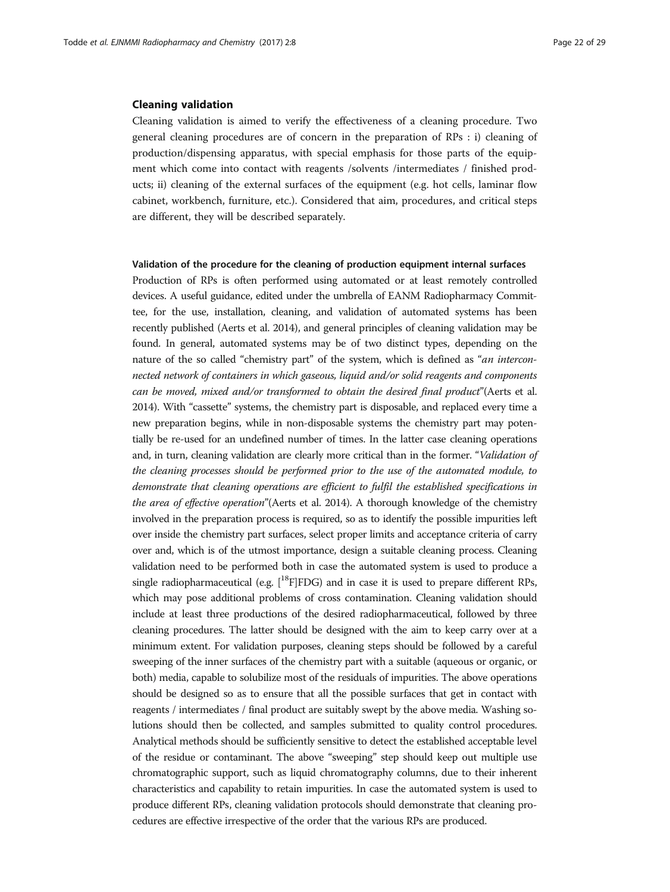#### Cleaning validation

Cleaning validation is aimed to verify the effectiveness of a cleaning procedure. Two general cleaning procedures are of concern in the preparation of RPs : i) cleaning of production/dispensing apparatus, with special emphasis for those parts of the equipment which come into contact with reagents /solvents /intermediates / finished products; ii) cleaning of the external surfaces of the equipment (e.g. hot cells, laminar flow cabinet, workbench, furniture, etc.). Considered that aim, procedures, and critical steps are different, they will be described separately.

#### Validation of the procedure for the cleaning of production equipment internal surfaces

Production of RPs is often performed using automated or at least remotely controlled devices. A useful guidance, edited under the umbrella of EANM Radiopharmacy Committee, for the use, installation, cleaning, and validation of automated systems has been recently published (Aerts et al. [2014\)](#page-27-0), and general principles of cleaning validation may be found. In general, automated systems may be of two distinct types, depending on the nature of the so called "chemistry part" of the system, which is defined as "an interconnected network of containers in which gaseous, liquid and/or solid reagents and components can be moved, mixed and/or transformed to obtain the desired final product"(Aerts et al. [2014\)](#page-27-0). With "cassette" systems, the chemistry part is disposable, and replaced every time a new preparation begins, while in non-disposable systems the chemistry part may potentially be re-used for an undefined number of times. In the latter case cleaning operations and, in turn, cleaning validation are clearly more critical than in the former. "Validation of the cleaning processes should be performed prior to the use of the automated module, to demonstrate that cleaning operations are efficient to fulfil the established specifications in the area of effective operation"(Aerts et al. [2014\)](#page-27-0). A thorough knowledge of the chemistry involved in the preparation process is required, so as to identify the possible impurities left over inside the chemistry part surfaces, select proper limits and acceptance criteria of carry over and, which is of the utmost importance, design a suitable cleaning process. Cleaning validation need to be performed both in case the automated system is used to produce a single radiopharmaceutical (e.g.  $[{}^{18}F]FDG$ ) and in case it is used to prepare different RPs, which may pose additional problems of cross contamination. Cleaning validation should include at least three productions of the desired radiopharmaceutical, followed by three cleaning procedures. The latter should be designed with the aim to keep carry over at a minimum extent. For validation purposes, cleaning steps should be followed by a careful sweeping of the inner surfaces of the chemistry part with a suitable (aqueous or organic, or both) media, capable to solubilize most of the residuals of impurities. The above operations should be designed so as to ensure that all the possible surfaces that get in contact with reagents / intermediates / final product are suitably swept by the above media. Washing solutions should then be collected, and samples submitted to quality control procedures. Analytical methods should be sufficiently sensitive to detect the established acceptable level of the residue or contaminant. The above "sweeping" step should keep out multiple use chromatographic support, such as liquid chromatography columns, due to their inherent characteristics and capability to retain impurities. In case the automated system is used to produce different RPs, cleaning validation protocols should demonstrate that cleaning procedures are effective irrespective of the order that the various RPs are produced.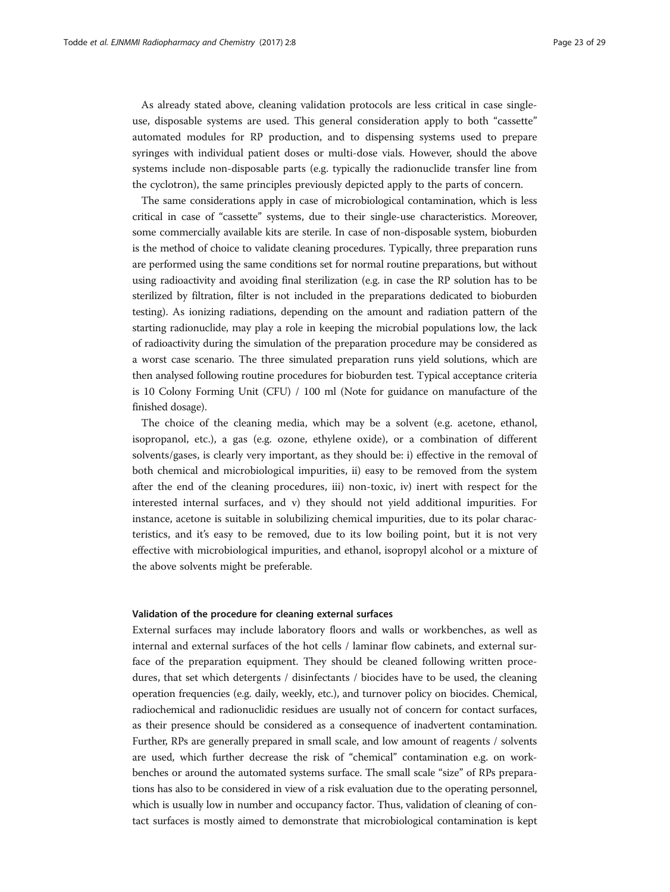As already stated above, cleaning validation protocols are less critical in case singleuse, disposable systems are used. This general consideration apply to both "cassette" automated modules for RP production, and to dispensing systems used to prepare syringes with individual patient doses or multi-dose vials. However, should the above systems include non-disposable parts (e.g. typically the radionuclide transfer line from the cyclotron), the same principles previously depicted apply to the parts of concern.

The same considerations apply in case of microbiological contamination, which is less critical in case of "cassette" systems, due to their single-use characteristics. Moreover, some commercially available kits are sterile. In case of non-disposable system, bioburden is the method of choice to validate cleaning procedures. Typically, three preparation runs are performed using the same conditions set for normal routine preparations, but without using radioactivity and avoiding final sterilization (e.g. in case the RP solution has to be sterilized by filtration, filter is not included in the preparations dedicated to bioburden testing). As ionizing radiations, depending on the amount and radiation pattern of the starting radionuclide, may play a role in keeping the microbial populations low, the lack of radioactivity during the simulation of the preparation procedure may be considered as a worst case scenario. The three simulated preparation runs yield solutions, which are then analysed following routine procedures for bioburden test. Typical acceptance criteria is 10 Colony Forming Unit (CFU) / 100 ml [\(Note for guidance on manufacture of the](#page-27-0) [finished dosage\)](#page-27-0).

The choice of the cleaning media, which may be a solvent (e.g. acetone, ethanol, isopropanol, etc.), a gas (e.g. ozone, ethylene oxide), or a combination of different solvents/gases, is clearly very important, as they should be: i) effective in the removal of both chemical and microbiological impurities, ii) easy to be removed from the system after the end of the cleaning procedures, iii) non-toxic, iv) inert with respect for the interested internal surfaces, and v) they should not yield additional impurities. For instance, acetone is suitable in solubilizing chemical impurities, due to its polar characteristics, and it's easy to be removed, due to its low boiling point, but it is not very effective with microbiological impurities, and ethanol, isopropyl alcohol or a mixture of the above solvents might be preferable.

#### Validation of the procedure for cleaning external surfaces

External surfaces may include laboratory floors and walls or workbenches, as well as internal and external surfaces of the hot cells / laminar flow cabinets, and external surface of the preparation equipment. They should be cleaned following written procedures, that set which detergents / disinfectants / biocides have to be used, the cleaning operation frequencies (e.g. daily, weekly, etc.), and turnover policy on biocides. Chemical, radiochemical and radionuclidic residues are usually not of concern for contact surfaces, as their presence should be considered as a consequence of inadvertent contamination. Further, RPs are generally prepared in small scale, and low amount of reagents / solvents are used, which further decrease the risk of "chemical" contamination e.g. on workbenches or around the automated systems surface. The small scale "size" of RPs preparations has also to be considered in view of a risk evaluation due to the operating personnel, which is usually low in number and occupancy factor. Thus, validation of cleaning of contact surfaces is mostly aimed to demonstrate that microbiological contamination is kept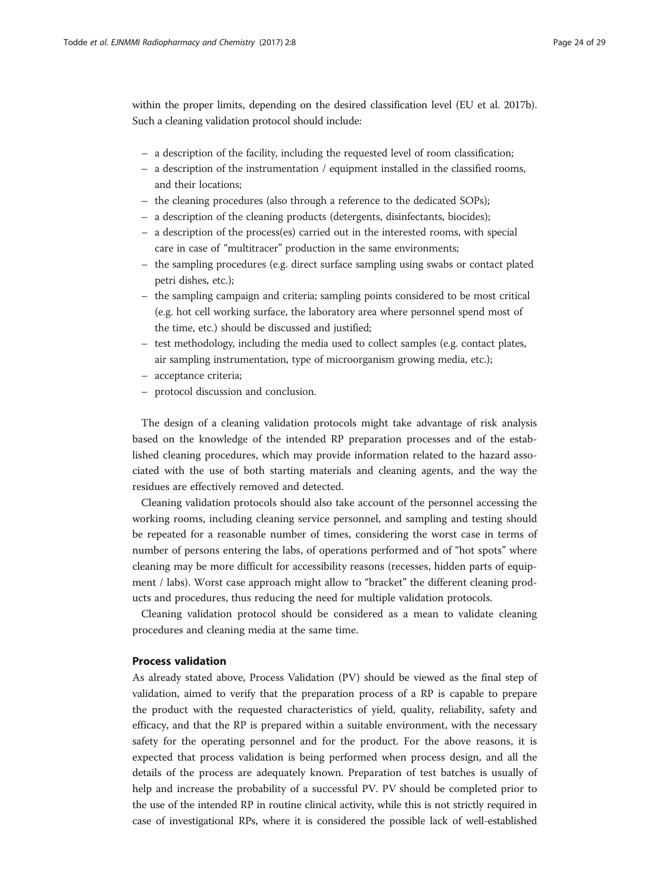within the proper limits, depending on the desired classification level (EU et al. [2017b](#page-27-0)). Such a cleaning validation protocol should include:

- a description of the facility, including the requested level of room classification;
- a description of the instrumentation / equipment installed in the classified rooms, and their locations;
- the cleaning procedures (also through a reference to the dedicated SOPs);
- a description of the cleaning products (detergents, disinfectants, biocides);
- a description of the process(es) carried out in the interested rooms, with special care in case of "multitracer" production in the same environments;
- the sampling procedures (e.g. direct surface sampling using swabs or contact plated petri dishes, etc.);
- the sampling campaign and criteria; sampling points considered to be most critical (e.g. hot cell working surface, the laboratory area where personnel spend most of the time, etc.) should be discussed and justified;
- test methodology, including the media used to collect samples (e.g. contact plates, air sampling instrumentation, type of microorganism growing media, etc.);
- acceptance criteria;
- protocol discussion and conclusion.

The design of a cleaning validation protocols might take advantage of risk analysis based on the knowledge of the intended RP preparation processes and of the established cleaning procedures, which may provide information related to the hazard associated with the use of both starting materials and cleaning agents, and the way the residues are effectively removed and detected.

Cleaning validation protocols should also take account of the personnel accessing the working rooms, including cleaning service personnel, and sampling and testing should be repeated for a reasonable number of times, considering the worst case in terms of number of persons entering the labs, of operations performed and of "hot spots" where cleaning may be more difficult for accessibility reasons (recesses, hidden parts of equipment / labs). Worst case approach might allow to "bracket" the different cleaning products and procedures, thus reducing the need for multiple validation protocols.

Cleaning validation protocol should be considered as a mean to validate cleaning procedures and cleaning media at the same time.

#### Process validation

As already stated above, Process Validation (PV) should be viewed as the final step of validation, aimed to verify that the preparation process of a RP is capable to prepare the product with the requested characteristics of yield, quality, reliability, safety and efficacy, and that the RP is prepared within a suitable environment, with the necessary safety for the operating personnel and for the product. For the above reasons, it is expected that process validation is being performed when process design, and all the details of the process are adequately known. Preparation of test batches is usually of help and increase the probability of a successful PV. PV should be completed prior to the use of the intended RP in routine clinical activity, while this is not strictly required in case of investigational RPs, where it is considered the possible lack of well-established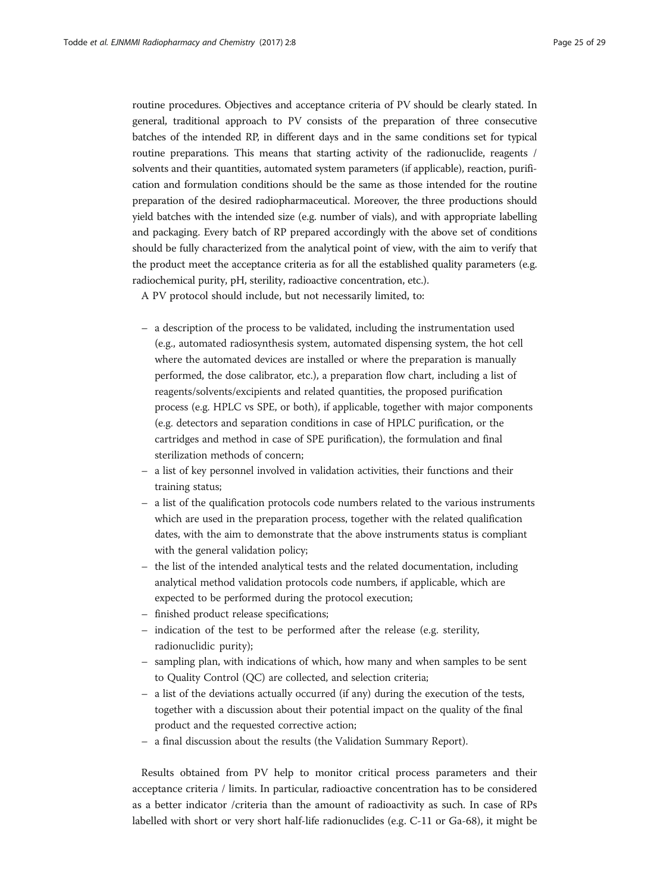routine procedures. Objectives and acceptance criteria of PV should be clearly stated. In general, traditional approach to PV consists of the preparation of three consecutive batches of the intended RP, in different days and in the same conditions set for typical routine preparations. This means that starting activity of the radionuclide, reagents / solvents and their quantities, automated system parameters (if applicable), reaction, purification and formulation conditions should be the same as those intended for the routine preparation of the desired radiopharmaceutical. Moreover, the three productions should yield batches with the intended size (e.g. number of vials), and with appropriate labelling and packaging. Every batch of RP prepared accordingly with the above set of conditions should be fully characterized from the analytical point of view, with the aim to verify that the product meet the acceptance criteria as for all the established quality parameters (e.g. radiochemical purity, pH, sterility, radioactive concentration, etc.).

A PV protocol should include, but not necessarily limited, to:

- a description of the process to be validated, including the instrumentation used (e.g., automated radiosynthesis system, automated dispensing system, the hot cell where the automated devices are installed or where the preparation is manually performed, the dose calibrator, etc.), a preparation flow chart, including a list of reagents/solvents/excipients and related quantities, the proposed purification process (e.g. HPLC vs SPE, or both), if applicable, together with major components (e.g. detectors and separation conditions in case of HPLC purification, or the cartridges and method in case of SPE purification), the formulation and final sterilization methods of concern;
- a list of key personnel involved in validation activities, their functions and their training status;
- a list of the qualification protocols code numbers related to the various instruments which are used in the preparation process, together with the related qualification dates, with the aim to demonstrate that the above instruments status is compliant with the general validation policy;
- the list of the intended analytical tests and the related documentation, including analytical method validation protocols code numbers, if applicable, which are expected to be performed during the protocol execution;
- finished product release specifications;
- indication of the test to be performed after the release (e.g. sterility, radionuclidic purity);
- sampling plan, with indications of which, how many and when samples to be sent to Quality Control (QC) are collected, and selection criteria;
- a list of the deviations actually occurred (if any) during the execution of the tests, together with a discussion about their potential impact on the quality of the final product and the requested corrective action;
- a final discussion about the results (the Validation Summary Report).

Results obtained from PV help to monitor critical process parameters and their acceptance criteria / limits. In particular, radioactive concentration has to be considered as a better indicator /criteria than the amount of radioactivity as such. In case of RPs labelled with short or very short half-life radionuclides (e.g. C-11 or Ga-68), it might be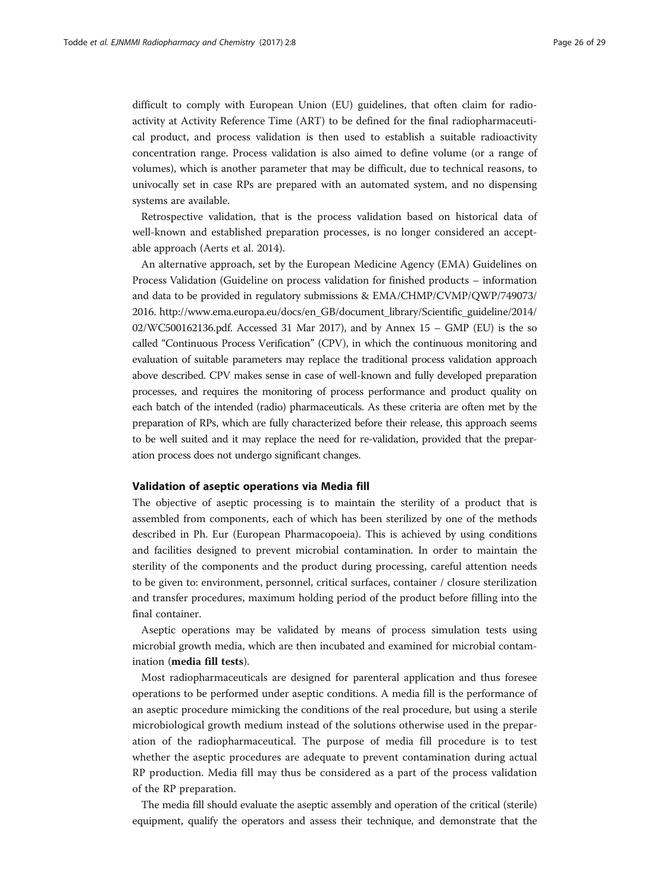difficult to comply with European Union (EU) guidelines, that often claim for radioactivity at Activity Reference Time (ART) to be defined for the final radiopharmaceutical product, and process validation is then used to establish a suitable radioactivity concentration range. Process validation is also aimed to define volume (or a range of volumes), which is another parameter that may be difficult, due to technical reasons, to univocally set in case RPs are prepared with an automated system, and no dispensing systems are available.

Retrospective validation, that is the process validation based on historical data of well-known and established preparation processes, is no longer considered an acceptable approach (Aerts et al. [2014](#page-27-0)).

An alternative approach, set by the European Medicine Agency (EMA) Guidelines on Process Validation (Guideline on process validation for finished products – information and data to be provided in regulatory submissions & EMA/CHMP/CVMP/QWP/749073/ 2016. [http://www.ema.europa.eu/docs/en\\_GB/document\\_library/Scientific\\_guideline/2014/](http://www.ema.europa.eu/docs/en_GB/document_library/Scientific_guideline/2014/02/WC500162136.pdf) [02/WC500162136.pdf.](http://www.ema.europa.eu/docs/en_GB/document_library/Scientific_guideline/2014/02/WC500162136.pdf) Accessed 31 Mar [2017\)](#page-27-0), and by Annex 15 – GMP ([EU](#page-27-0)) is the so called "Continuous Process Verification" (CPV), in which the continuous monitoring and evaluation of suitable parameters may replace the traditional process validation approach above described. CPV makes sense in case of well-known and fully developed preparation processes, and requires the monitoring of process performance and product quality on each batch of the intended (radio) pharmaceuticals. As these criteria are often met by the preparation of RPs, which are fully characterized before their release, this approach seems to be well suited and it may replace the need for re-validation, provided that the preparation process does not undergo significant changes.

#### Validation of aseptic operations via Media fill

The objective of aseptic processing is to maintain the sterility of a product that is assembled from components, each of which has been sterilized by one of the methods described in Ph. Eur [\(European Pharmacopoeia\)](#page-27-0). This is achieved by using conditions and facilities designed to prevent microbial contamination. In order to maintain the sterility of the components and the product during processing, careful attention needs to be given to: environment, personnel, critical surfaces, container / closure sterilization and transfer procedures, maximum holding period of the product before filling into the final container.

Aseptic operations may be validated by means of process simulation tests using microbial growth media, which are then incubated and examined for microbial contamination (media fill tests).

Most radiopharmaceuticals are designed for parenteral application and thus foresee operations to be performed under aseptic conditions. A media fill is the performance of an aseptic procedure mimicking the conditions of the real procedure, but using a sterile microbiological growth medium instead of the solutions otherwise used in the preparation of the radiopharmaceutical. The purpose of media fill procedure is to test whether the aseptic procedures are adequate to prevent contamination during actual RP production. Media fill may thus be considered as a part of the process validation of the RP preparation.

The media fill should evaluate the aseptic assembly and operation of the critical (sterile) equipment, qualify the operators and assess their technique, and demonstrate that the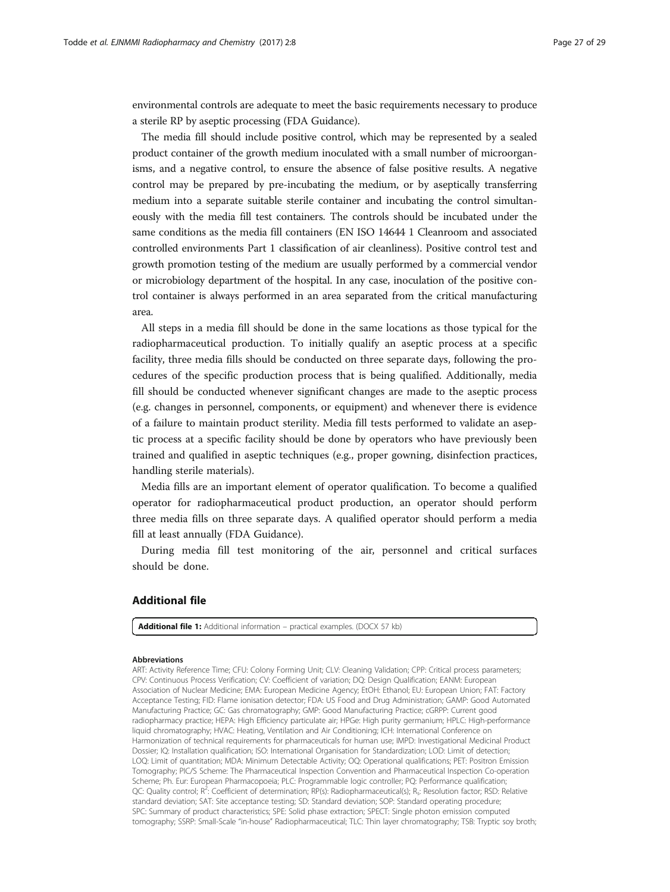environmental controls are adequate to meet the basic requirements necessary to produce a sterile RP by aseptic processing [\(FDA Guidance\)](#page-27-0).

The media fill should include positive control, which may be represented by a sealed product container of the growth medium inoculated with a small number of microorganisms, and a negative control, to ensure the absence of false positive results. A negative control may be prepared by pre-incubating the medium, or by aseptically transferring medium into a separate suitable sterile container and incubating the control simultaneously with the media fill test containers. The controls should be incubated under the same conditions as the media fill containers ([EN ISO 14644 1 Cleanroom and associated](#page-27-0) [controlled environments Part 1 classification of air cleanliness](#page-27-0)). Positive control test and growth promotion testing of the medium are usually performed by a commercial vendor or microbiology department of the hospital. In any case, inoculation of the positive control container is always performed in an area separated from the critical manufacturing area.

All steps in a media fill should be done in the same locations as those typical for the radiopharmaceutical production. To initially qualify an aseptic process at a specific facility, three media fills should be conducted on three separate days, following the procedures of the specific production process that is being qualified. Additionally, media fill should be conducted whenever significant changes are made to the aseptic process (e.g. changes in personnel, components, or equipment) and whenever there is evidence of a failure to maintain product sterility. Media fill tests performed to validate an aseptic process at a specific facility should be done by operators who have previously been trained and qualified in aseptic techniques (e.g., proper gowning, disinfection practices, handling sterile materials).

Media fills are an important element of operator qualification. To become a qualified operator for radiopharmaceutical product production, an operator should perform three media fills on three separate days. A qualified operator should perform a media fill at least annually ([FDA Guidance\)](#page-27-0).

During media fill test monitoring of the air, personnel and critical surfaces should be done.

#### Additional file

[Additional file 1:](dx.doi.org/10.1186/s41181-017-0025-9) Additional information - practical examples. (DOCX 57 kb)

#### Abbreviations

ART: Activity Reference Time; CFU: Colony Forming Unit; CLV: Cleaning Validation; CPP: Critical process parameters; CPV: Continuous Process Verification; CV: Coefficient of variation; DQ: Design Qualification; EANM: European Association of Nuclear Medicine; EMA: European Medicine Agency; EtOH: Ethanol; EU: European Union; FAT: Factory Acceptance Testing; FID: Flame ionisation detector; FDA: US Food and Drug Administration; GAMP: Good Automated Manufacturing Practice; GC: Gas chromatography; GMP: Good Manufacturing Practice; cGRPP: Current good radiopharmacy practice; HEPA: High Efficiency particulate air; HPGe: High purity germanium; HPLC: High-performance liquid chromatography; HVAC: Heating, Ventilation and Air Conditioning; ICH: International Conference on Harmonization of technical requirements for pharmaceuticals for human use; IMPD: Investigational Medicinal Product Dossier; IQ: Installation qualification; ISO: International Organisation for Standardization; LOD: Limit of detection; LOQ: Limit of quantitation; MDA: Minimum Detectable Activity; OQ: Operational qualifications; PET: Positron Emission Tomography; PIC/S Scheme: The Pharmaceutical Inspection Convention and Pharmaceutical Inspection Co-operation Scheme; Ph. Eur: European Pharmacopoeia; PLC: Programmable logic controller; PQ: Performance qualification; QC: Quality control; R<sup>2</sup>: Coefficient of determination; RP(s): Radiopharmaceutical(s); R<sub>s</sub>: Resolution factor; RSD: Relative standard deviation; SAT: Site acceptance testing; SD: Standard deviation; SOP: Standard operating procedure; SPC: Summary of product characteristics; SPE: Solid phase extraction; SPECT: Single photon emission computed tomography; SSRP: Small-Scale "in-house" Radiopharmaceutical; TLC: Thin layer chromatography; TSB: Tryptic soy broth;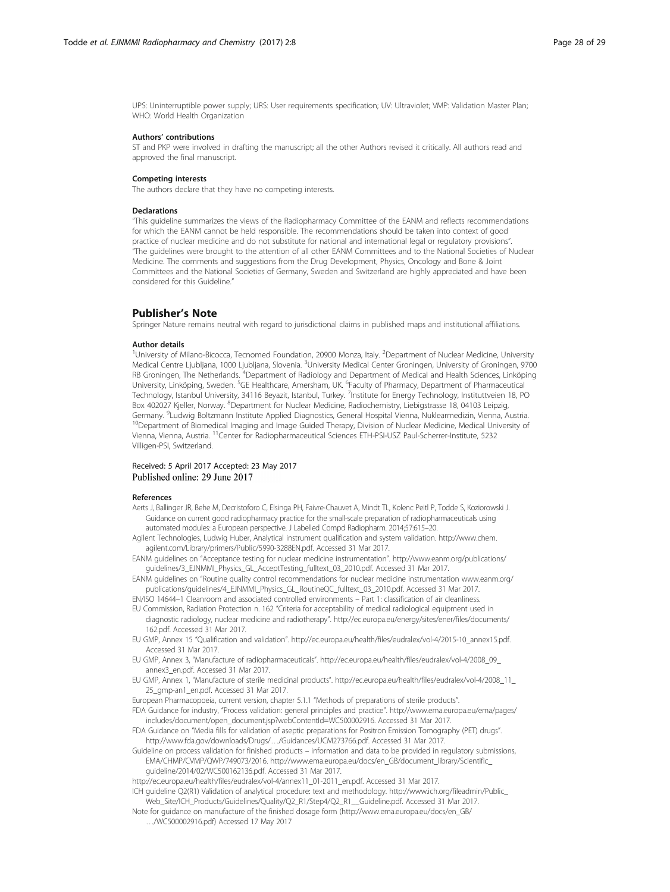<span id="page-27-0"></span>UPS: Uninterruptible power supply; URS: User requirements specification; UV: Ultraviolet; VMP: Validation Master Plan; WHO: World Health Organization

#### Authors' contributions

ST and PKP were involved in drafting the manuscript; all the other Authors revised it critically. All authors read and approved the final manuscript.

#### Competing interests

The authors declare that they have no competing interests.

#### Declarations

"This guideline summarizes the views of the Radiopharmacy Committee of the EANM and reflects recommendations for which the EANM cannot be held responsible. The recommendations should be taken into context of good practice of nuclear medicine and do not substitute for national and international legal or regulatory provisions". "The guidelines were brought to the attention of all other EANM Committees and to the National Societies of Nuclear Medicine. The comments and suggestions from the Drug Development, Physics, Oncology and Bone & Joint Committees and the National Societies of Germany, Sweden and Switzerland are highly appreciated and have been considered for this Guideline."

#### Publisher's Note

Springer Nature remains neutral with regard to jurisdictional claims in published maps and institutional affiliations.

#### Author details

<sup>1</sup>University of Milano-Bicocca, Tecnomed Foundation, 20900 Monza, Italy. <sup>2</sup>Department of Nuclear Medicine, University Medical Centre Ljubljana, 1000 Ljubljana, Slovenia. <sup>3</sup>University Medical Center Groningen, University of Groningen, 9700 RB Groningen, The Netherlands. <sup>4</sup>Department of Radiology and Department of Medical and Health Sciences, Linköping University, Linköping, Sweden. <sup>5</sup>GE Healthcare, Amersham, UK. <sup>6</sup>Faculty of Pharmacy, Department of Pharmaceutical Technology, Istanbul University, 34116 Beyazit, Istanbul, Turkey. <sup>7</sup>Institute for Energy Technology, Instituttveien 18, PC Box 402027 Kjeller, Norway. <sup>8</sup>Department for Nuclear Medicine, Radiochemistry, Liebigstrasse 18, 04103 Leipzig, Germany. <sup>9</sup>Ludwig Boltzmann Institute Applied Diagnostics, General Hospital Vienna, Nuklearmedizin, Vienna, Austria.  $10$ Department of Biomedical Imaging and Image Guided Therapy, Division of Nuclear Medicine, Medical University of Vienna, Vienna, Austria. 11Center for Radiopharmaceutical Sciences ETH-PSI-USZ Paul-Scherrer-Institute, 5232 Villigen-PSI, Switzerland.

## Received: 5 April 2017 Accepted: 23 May 2017<br>Published online: 29 June 2017

#### References

- Aerts J, Ballinger JR, Behe M, Decristoforo C, Elsinga PH, Faivre-Chauvet A, Mindt TL, Kolenc Peitl P, Todde S, Koziorowski J. Guidance on current good radiopharmacy practice for the small-scale preparation of radiopharmaceuticals using automated modules: a European perspective. J Labelled Compd Radiopharm. 2014;57:615–20.
- Agilent Technologies, Ludwig Huber, Analytical instrument qualification and system validation. [http://www.chem.](http://www.chem.agilent.com/Library/primers/Public/5990-3288EN.pdf) [agilent.com/Library/primers/Public/5990-3288EN.pdf.](http://www.chem.agilent.com/Library/primers/Public/5990-3288EN.pdf) Accessed 31 Mar 2017.
- EANM guidelines on "Acceptance testing for nuclear medicine instrumentation". [http://www.eanm.org/publications/](http://www.eanm.org/publications/guidelines/3_EJNMMI_Physics_GL_AcceptTesting_fulltext_03_2010.pdf) [guidelines/3\\_EJNMMI\\_Physics\\_GL\\_AcceptTesting\\_fulltext\\_03\\_2010.pdf.](http://www.eanm.org/publications/guidelines/3_EJNMMI_Physics_GL_AcceptTesting_fulltext_03_2010.pdf) Accessed 31 Mar 2017.
- EANM guidelines on "Routine quality control recommendations for nuclear medicine instrumentation [www.eanm.org/](http://www.eanm.org/publications/guidelines/4_EJNMMI_Physics_GL_RoutineQC_fulltext_03_2010.pdf) [publications/guidelines/4\\_EJNMMI\\_Physics\\_GL\\_RoutineQC\\_fulltext\\_03\\_2010.pdf](http://www.eanm.org/publications/guidelines/4_EJNMMI_Physics_GL_RoutineQC_fulltext_03_2010.pdf). Accessed 31 Mar 2017.
- EN/ISO 14644–1 Cleanroom and associated controlled environments Part 1: classification of air cleanliness.
- EU Commission, Radiation Protection n. 162 "Criteria for acceptability of medical radiological equipment used in diagnostic radiology, nuclear medicine and radiotherapy". [http://ec.europa.eu/energy/sites/ener/files/documents/](http://ec.europa.eu/energy/sites/ener/files/documents/162.pdf) [162.pdf.](http://ec.europa.eu/energy/sites/ener/files/documents/162.pdf) Accessed 31 Mar 2017.
- EU GMP, Annex 15 "Qualification and validation". [http://ec.europa.eu/health/files/eudralex/vol-4/2015-10\\_annex15.pdf](http://ec.europa.eu/health/files/eudralex/vol-4/2015-10_annex15.pdf). Accessed 31 Mar 2017.
- EU GMP, Annex 3, "Manufacture of radiopharmaceuticals". [http://ec.europa.eu/health/files/eudralex/vol-4/2008\\_09\\_](http://ec.europa.eu/health/files/eudralex/vol-4/2008_09_annex3_en.pdf) [annex3\\_en.pdf.](http://ec.europa.eu/health/files/eudralex/vol-4/2008_09_annex3_en.pdf) Accessed 31 Mar 2017.
- EU GMP, Annex 1, "Manufacture of sterile medicinal products". [http://ec.europa.eu/health/files/eudralex/vol-4/2008\\_11\\_](http://ec.europa.eu/health/files/eudralex/vol-4/2008_11_25_gmp-an1_en.pdf) [25\\_gmp-an1\\_en.pdf](http://ec.europa.eu/health/files/eudralex/vol-4/2008_11_25_gmp-an1_en.pdf). Accessed 31 Mar 2017.
- European Pharmacopoeia, current version, chapter 5.1.1 "Methods of preparations of sterile products".
- FDA Guidance for industry, "Process validation: general principles and practice". [http://www.ema.europa.eu/ema/pages/](http://www.ema.europa.eu/ema/pages/includes/document/open_document.jsp?webContentId=WC500002916) [includes/document/open\\_document.jsp?webContentId=WC500002916.](http://www.ema.europa.eu/ema/pages/includes/document/open_document.jsp?webContentId=WC500002916) Accessed 31 Mar 2017.
- FDA Guidance on "Media fills for validation of aseptic preparations for Positron Emission Tomography (PET) drugs". [http://www.fda.gov/downloads/Drugs/](http://www.fda.gov/downloads/Drugs/%E2%80%A6/Guidances/UCM273766.pdf)…/Guidances/UCM273766.pdf. Accessed 31 Mar 2017.
- Guideline on process validation for finished products information and data to be provided in regulatory submissions, EMA/CHMP/CVMP/QWP/749073/2016. [http://www.ema.europa.eu/docs/en\\_GB/document\\_library/Scientific\\_](http://www.ema.europa.eu/docs/en_GB/document_library/Scientific_guideline/2014/02/WC500162136.pdf) [guideline/2014/02/WC500162136.pdf](http://www.ema.europa.eu/docs/en_GB/document_library/Scientific_guideline/2014/02/WC500162136.pdf). Accessed 31 Mar 2017.
- [http://ec.europa.eu/health/files/eudralex/vol-4/annex11\\_01-2011\\_en.pdf](http://ec.europa.eu/health/files/eudralex/vol-4/annex11_01-2011_en.pdf). Accessed 31 Mar 2017.
- ICH guideline Q2(R1) Validation of analytical procedure: text and methodology. [http://www.ich.org/fileadmin/Public\\_](http://www.ich.org/fileadmin/Public_Web_Site/ICH_Products/Guidelines/Quality/Q2_R1/Step4/Q2_R1__Guideline.pdf) [Web\\_Site/ICH\\_Products/Guidelines/Quality/Q2\\_R1/Step4/Q2\\_R1\\_\\_Guideline.pdf](http://www.ich.org/fileadmin/Public_Web_Site/ICH_Products/Guidelines/Quality/Q2_R1/Step4/Q2_R1__Guideline.pdf). Accessed 31 Mar 2017.
- Note for guidance on manufacture of the finished dosage form ([http://www.ema.europa.eu/docs/en\\_GB/](http://www.ema.europa.eu/docs/en_GB/%E2%80%A6/WC500002916.pdf) …[/WC500002916.pdf](http://www.ema.europa.eu/docs/en_GB/%E2%80%A6/WC500002916.pdf)) Accessed 17 May 2017